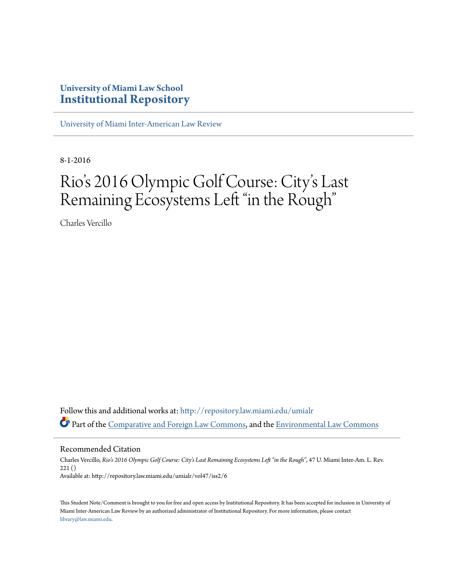### **University of Miami Law School [Institutional Repository](http://repository.law.miami.edu?utm_source=repository.law.miami.edu%2Fumialr%2Fvol47%2Fiss2%2F6&utm_medium=PDF&utm_campaign=PDFCoverPages)**

[University of Miami Inter-American Law Review](http://repository.law.miami.edu/umialr?utm_source=repository.law.miami.edu%2Fumialr%2Fvol47%2Fiss2%2F6&utm_medium=PDF&utm_campaign=PDFCoverPages)

8-1-2016

# Rio's 2016 Olympic Golf Course: City 's Last Remaining Ecosystems Left "in the Rough"

Charles Vercillo

Follow this and additional works at: [http://repository.law.miami.edu/umialr](http://repository.law.miami.edu/umialr?utm_source=repository.law.miami.edu%2Fumialr%2Fvol47%2Fiss2%2F6&utm_medium=PDF&utm_campaign=PDFCoverPages) Part of the [Comparative and Foreign Law Commons](http://network.bepress.com/hgg/discipline/836?utm_source=repository.law.miami.edu%2Fumialr%2Fvol47%2Fiss2%2F6&utm_medium=PDF&utm_campaign=PDFCoverPages), and the [Environmental Law Commons](http://network.bepress.com/hgg/discipline/599?utm_source=repository.law.miami.edu%2Fumialr%2Fvol47%2Fiss2%2F6&utm_medium=PDF&utm_campaign=PDFCoverPages)

Recommended Citation

Charles Vercillo, *Rio's 2016 Olympic Golf Course: City's Last Remaining Ecosystems Left "in the Rough"*, 47 U. Miami Inter-Am. L. Rev. 221 () Available at: http://repository.law.miami.edu/umialr/vol47/iss2/6

This Student Note/Comment is brought to you for free and open access by Institutional Repository. It has been accepted for inclusion in University of Miami Inter-American Law Review by an authorized administrator of Institutional Repository. For more information, please contact [library@law.miami.edu](mailto:library@law.miami.edu).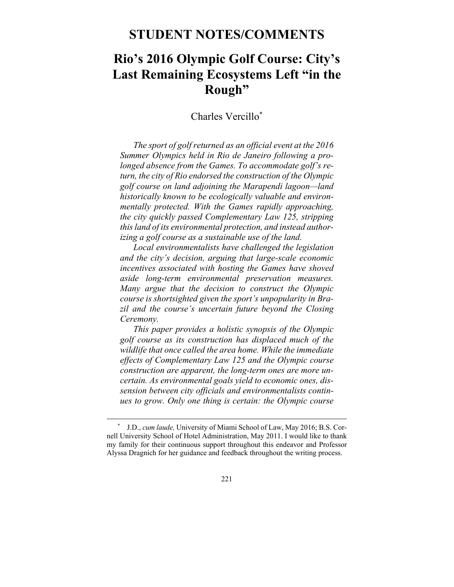### **STUDENT NOTES/COMMENTS**

## **Rio's 2016 Olympic Golf Course: City's Last Remaining Ecosystems Left "in the Rough"**

### Charles Vercillo\*

*The sport of golf returned as an official event at the 2016 Summer Olympics held in Rio de Janeiro following a prolonged absence from the Games. To accommodate golf's return, the city of Rio endorsed the construction of the Olympic golf course on land adjoining the Marapendi lagoon—land historically known to be ecologically valuable and environmentally protected. With the Games rapidly approaching, the city quickly passed Complementary Law 125, stripping this land of its environmental protection, and instead authorizing a golf course as a sustainable use of the land.* 

*Local environmentalists have challenged the legislation and the city's decision, arguing that large-scale economic incentives associated with hosting the Games have shoved aside long-term environmental preservation measures. Many argue that the decision to construct the Olympic course is shortsighted given the sport's unpopularity in Brazil and the course's uncertain future beyond the Closing Ceremony.* 

*This paper provides a holistic synopsis of the Olympic golf course as its construction has displaced much of the wildlife that once called the area home. While the immediate effects of Complementary Law 125 and the Olympic course construction are apparent, the long-term ones are more uncertain. As environmental goals yield to economic ones, dissension between city officials and environmentalists continues to grow. Only one thing is certain: the Olympic course* 

 <sup>\*</sup> J.D., *cum laude,* University of Miami School of Law, May 2016; B.S. Cornell University School of Hotel Administration, May 2011. I would like to thank my family for their continuous support throughout this endeavor and Professor Alyssa Dragnich for her guidance and feedback throughout the writing process.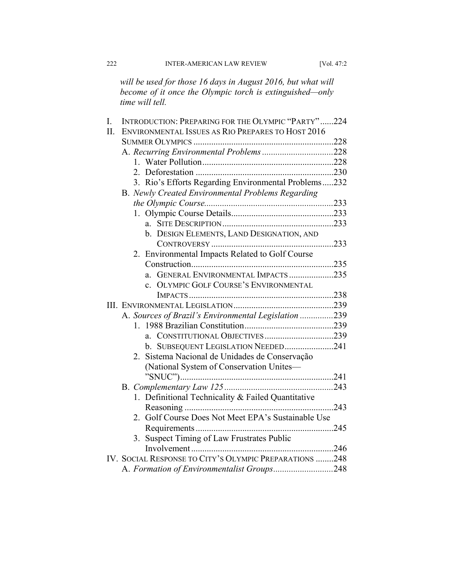*will be used for those 16 days in August 2016, but what will become of it once the Olympic torch is extinguished—only time will tell.* 

| I. | INTRODUCTION: PREPARING FOR THE OLYMPIC "PARTY"224     |      |  |
|----|--------------------------------------------------------|------|--|
| Π. | ENVIRONMENTAL ISSUES AS RIO PREPARES TO HOST 2016      |      |  |
|    |                                                        |      |  |
|    |                                                        |      |  |
|    |                                                        |      |  |
|    |                                                        |      |  |
|    | 3. Rio's Efforts Regarding Environmental Problems232   |      |  |
|    | B. Newly Created Environmental Problems Regarding      |      |  |
|    |                                                        |      |  |
|    |                                                        |      |  |
|    | a.                                                     |      |  |
|    | b. DESIGN ELEMENTS, LAND DESIGNATION, AND              |      |  |
|    |                                                        |      |  |
|    | 2. Environmental Impacts Related to Golf Course        |      |  |
|    |                                                        |      |  |
|    | GENERAL ENVIRONMENTAL IMPACTS235<br>a.                 |      |  |
|    | <b>OLYMPIC GOLF COURSE'S ENVIRONMENTAL</b>             |      |  |
|    |                                                        |      |  |
|    |                                                        |      |  |
|    | A. Sources of Brazil's Environmental Legislation 239   |      |  |
|    |                                                        |      |  |
|    | a. CONSTITUTIONAL OBJECTIVES239                        |      |  |
|    | b. SUBSEQUENT LEGISLATION NEEDED241                    |      |  |
|    | 2. Sistema Nacional de Unidades de Conservação         |      |  |
|    | (National System of Conservation Unites-               |      |  |
|    |                                                        |      |  |
|    |                                                        |      |  |
|    | 1. Definitional Technicality & Failed Quantitative     |      |  |
|    |                                                        | 243  |  |
|    | Golf Course Does Not Meet EPA's Sustainable Use<br>2   |      |  |
|    |                                                        | .245 |  |
|    | 3. Suspect Timing of Law Frustrates Public             |      |  |
|    |                                                        |      |  |
|    | IV. SOCIAL RESPONSE TO CITY'S OLYMPIC PREPARATIONS 248 |      |  |
|    | A. Formation of Environmentalist Groups248             |      |  |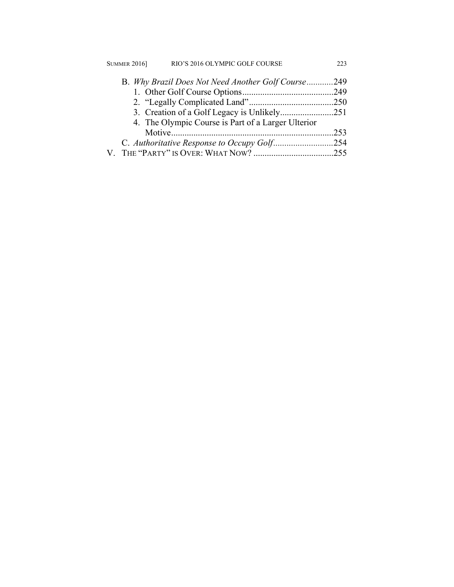| <b>SUMMER 2016</b>                          | RIO'S 2016 OLYMPIC GOLF COURSE                     | 223  |
|---------------------------------------------|----------------------------------------------------|------|
|                                             | B. Why Brazil Does Not Need Another Golf Course249 |      |
|                                             |                                                    |      |
|                                             |                                                    |      |
|                                             |                                                    |      |
|                                             | 4. The Olympic Course is Part of a Larger Ulterior |      |
|                                             |                                                    | .253 |
| C. Authoritative Response to Occupy Golf254 |                                                    |      |
|                                             |                                                    |      |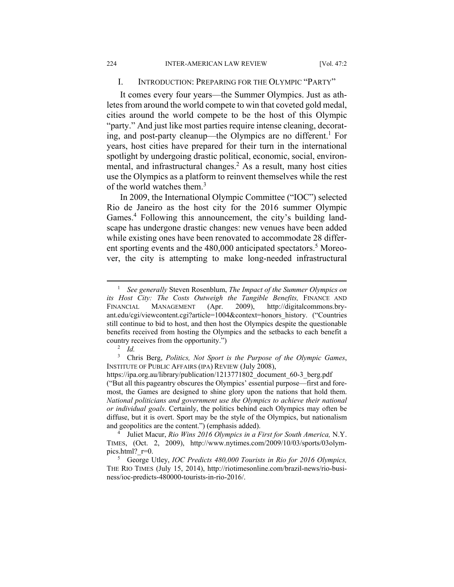#### I. INTRODUCTION: PREPARING FOR THE OLYMPIC "PARTY"

It comes every four years—the Summer Olympics. Just as athletes from around the world compete to win that coveted gold medal, cities around the world compete to be the host of this Olympic "party." And just like most parties require intense cleaning, decorating, and post-party cleanup—the Olympics are no different.<sup>1</sup> For years, host cities have prepared for their turn in the international spotlight by undergoing drastic political, economic, social, environmental, and infrastructural changes.<sup>2</sup> As a result, many host cities use the Olympics as a platform to reinvent themselves while the rest of the world watches them.<sup>3</sup>

In 2009, the International Olympic Committee ("IOC") selected Rio de Janeiro as the host city for the 2016 summer Olympic Games.<sup>4</sup> Following this announcement, the city's building landscape has undergone drastic changes: new venues have been added while existing ones have been renovated to accommodate 28 different sporting events and the 480,000 anticipated spectators.<sup>5</sup> Moreover, the city is attempting to make long-needed infrastructural

3 Chris Berg, *Politics, Not Sport is the Purpose of the Olympic Games*, INSTITUTE OF PUBLIC AFFAIRS (IPA) REVIEW (July 2008),

https://ipa.org.au/library/publication/1213771802\_document\_60-3\_berg.pdf ("But all this pageantry obscures the Olympics' essential purpose—first and foremost, the Games are designed to shine glory upon the nations that hold them. *National politicians and government use the Olympics to achieve their national or individual goals*. Certainly, the politics behind each Olympics may often be diffuse, but it is overt. Sport may be the style of the Olympics, but nationalism and geopolitics are the content.") (emphasis added). 4

<sup>4</sup> Juliet Macur, *Rio Wins 2016 Olympics in a First for South America*, N.Y. TIMES, (Oct. 2, 2009), http://www.nytimes.com/2009/10/03/sports/03olympics.html? $r=0$ .

 George Utley, *IOC Predicts 480,000 Tourists in Rio for 2016 Olympics,*  THE RIO TIMES (July 15, 2014), http://riotimesonline.com/brazil-news/rio-business/ioc-predicts-480000-tourists-in-rio-2016/.

 $\frac{1}{1}$ <sup>1</sup> See generally Steven Rosenblum, *The Impact of the Summer Olympics on* its Host City: The Costs Outweigh the Tangible Benefits, FINANCE AND FINANCIAL MANAGEMENT (Apr. 2009), http://digitalcommons.bryant.edu/cgi/viewcontent.cgi?article=1004&context=honors\_history. ("Countries still continue to bid to host, and then host the Olympics despite the questionable benefits received from hosting the Olympics and the setbacks to each benefit a country receives from the opportunity."

*Id.*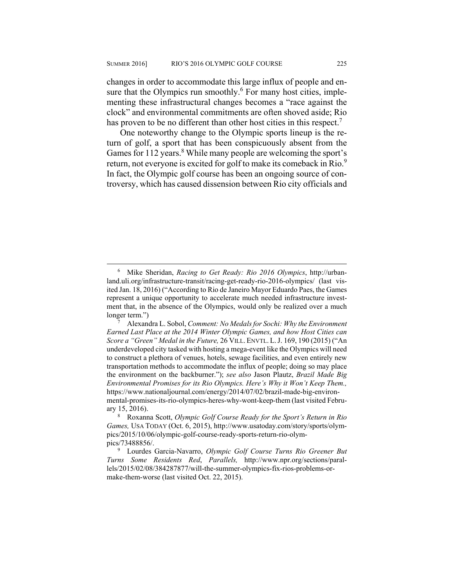changes in order to accommodate this large influx of people and ensure that the Olympics run smoothly.<sup>6</sup> For many host cities, implementing these infrastructural changes becomes a "race against the clock" and environmental commitments are often shoved aside; Rio has proven to be no different than other host cities in this respect.<sup>7</sup>

One noteworthy change to the Olympic sports lineup is the return of golf, a sport that has been conspicuously absent from the Games for 112 years.<sup>8</sup> While many people are welcoming the sport's return, not everyone is excited for golf to make its comeback in Rio.<sup>9</sup> In fact, the Olympic golf course has been an ongoing source of controversy, which has caused dissension between Rio city officials and

 $\overline{\phantom{0}}$  Mike Sheridan, *Racing to Get Ready: Rio 2016 Olympics*, http://urbanland.uli.org/infrastructure-transit/racing-get-ready-rio-2016-olympics/ (last visited Jan. 18, 2016) ("According to Rio de Janeiro Mayor Eduardo Paes, the Games represent a unique opportunity to accelerate much needed infrastructure investment that, in the absence of the Olympics, would only be realized over a much longer term.")

Alexandra L. Sobol, *Comment: No Medals for Sochi: Why the Environment Earned Last Place at the 2014 Winter Olympic Games, and how Host Cities can Score a "Green" Medal in the Future,* 26 VILL. ENVTL. L.J. 169, 190 (2015) ("An underdeveloped city tasked with hosting a mega-event like the Olympics will need to construct a plethora of venues, hotels, sewage facilities, and even entirely new transportation methods to accommodate the influx of people; doing so may place the environment on the backburner."); *see also* Jason Plautz, *Brazil Made Big Environmental Promises for its Rio Olympics. Here's Why it Won't Keep Them.,*  https://www.nationaljournal.com/energy/2014/07/02/brazil-made-big-environmental-promises-its-rio-olympics-heres-why-wont-keep-them (last visited February  $15, 2016$ .

Roxanna Scott, *Olympic Golf Course Ready for the Sport's Return in Rio Games,* USA TODAY (Oct. 6, 2015), http://www.usatoday.com/story/sports/olympics/2015/10/06/olympic-golf-course-ready-sports-return-rio-olympics/73488856/.

Lourdes Garcia-Navarro, *Olympic Golf Course Turns Rio Greener But Turns Some Residents Red*, *Parallels,* http://www.npr.org/sections/parallels/2015/02/08/384287877/will-the-summer-olympics-fix-rios-problems-ormake-them-worse (last visited Oct. 22, 2015).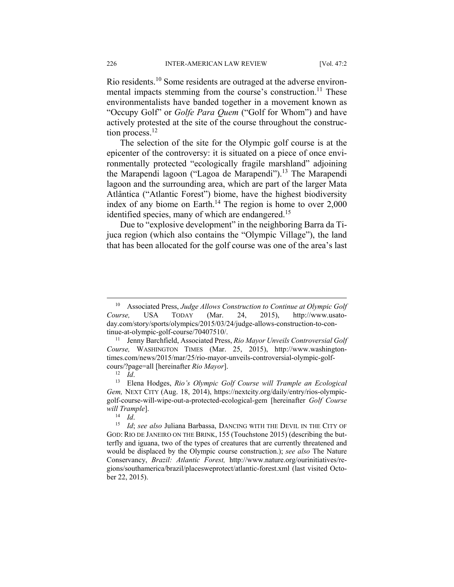Rio residents.10 Some residents are outraged at the adverse environmental impacts stemming from the course's construction.<sup>11</sup> These environmentalists have banded together in a movement known as "Occupy Golf" or *Golfe Para Quem* ("Golf for Whom") and have actively protested at the site of the course throughout the construction process.<sup>12</sup>

The selection of the site for the Olympic golf course is at the epicenter of the controversy: it is situated on a piece of once environmentally protected "ecologically fragile marshland" adjoining the Marapendi lagoon ("Lagoa de Marapendi").<sup>13</sup> The Marapendi lagoon and the surrounding area, which are part of the larger Mata Atlântica ("Atlantic Forest") biome, have the highest biodiversity index of any biome on Earth.<sup>14</sup> The region is home to over  $2,000$ identified species, many of which are endangered.<sup>15</sup>

Due to "explosive development" in the neighboring Barra da Tijuca region (which also contains the "Olympic Village"), the land that has been allocated for the golf course was one of the area's last

 <sup>10</sup> Associated Press, *Judge Allows Construction to Continue at Olympic Golf Course,* USA TODAY (Mar. 24, 2015), http://www.usatoday.com/story/sports/olympics/2015/03/24/judge-allows-construction-to-continue-at-olympic-golf-course/70407510/. 11 Jenny Barchfield, Associated Press, *Rio Mayor Unveils Controversial Golf* 

*Course,* WASHINGTON TIMES (Mar. 25, 2015), http://www.washingtontimes.com/news/2015/mar/25/rio-mayor-unveils-controversial-olympic-golfcours/?page=all [hereinafter *Rio Mayor*]. 12 *Id*. 13 Elena Hodges, *Rio's Olympic Golf Course will Trample an Ecological* 

*Gem,* NEXT CITY (Aug. 18, 2014), https://nextcity.org/daily/entry/rios-olympicgolf-course-will-wipe-out-a-protected-ecological-gem [hereinafter *Golf Course will Trample*].<br><sup>14</sup> *Id*: *see also* Juliana Barbassa, DANCING WITH THE DEVIL IN THE CITY OF

GOD: RIO DE JANEIRO ON THE BRINK, 155 (Touchstone 2015) (describing the butterfly and iguana, two of the types of creatures that are currently threatened and would be displaced by the Olympic course construction.); *see also* The Nature Conservancy, *Brazil: Atlantic Forest,* http://www.nature.org/ourinitiatives/regions/southamerica/brazil/placesweprotect/atlantic-forest.xml (last visited October 22, 2015).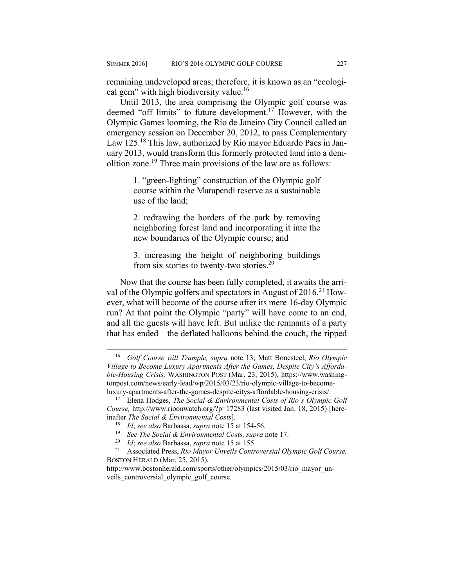remaining undeveloped areas; therefore, it is known as an "ecological gem" with high biodiversity value.<sup>16</sup>

Until 2013, the area comprising the Olympic golf course was deemed "off limits" to future development.17 However, with the Olympic Games looming, the Rio de Janeiro City Council called an emergency session on December 20, 2012, to pass Complementary Law 125.<sup>18</sup> This law, authorized by Rio mayor Eduardo Paes in January 2013, would transform this formerly protected land into a demolition zone.19 Three main provisions of the law are as follows:

> 1. "green-lighting" construction of the Olympic golf course within the Marapendi reserve as a sustainable use of the land;

> 2. redrawing the borders of the park by removing neighboring forest land and incorporating it into the new boundaries of the Olympic course; and

> 3. increasing the height of neighboring buildings from six stories to twenty-two stories.20

Now that the course has been fully completed, it awaits the arrival of the Olympic golfers and spectators in August of  $2016$ <sup>21</sup> However, what will become of the course after its mere 16-day Olympic run? At that point the Olympic "party" will have come to an end, and all the guests will have left. But unlike the remnants of a party that has ended—the deflated balloons behind the couch, the ripped

 <sup>16</sup> *Golf Course will Trample, supra* note 13; Matt Bonesteel, *Rio Olympic Village to Become Luxury Apartments After the Games, Despite City's Affordable-Housing Crisis,* WASHINGTON POST (Mar. 23, 2015), https://www.washingtonpost.com/news/early-lead/wp/2015/03/23/rio-olympic-village-to-becomeluxury-apartments-after-the-games-despite-citys-affordable-housing-crisis/. 17 Elena Hodges, *The Social & Environmental Costs of Rio's Olympic Golf* 

*Course,* http://www.rioonwatch.org/?p=17283 (last visited Jan. 18, 2015) [hereinafter *The Social & Environmental Costs*].<br><sup>18</sup> *Id*; see also Barbassa, supra note 15 at 154-56.<br><sup>19</sup> *See The Social & Environmental Costs, supra* note 17.<br><sup>20</sup> *Id*; see also Barbassa, supra note 15 at 155.<br><sup>21</sup> Asso

BOSTON HERALD (Mar. 25, 2015),

http://www.bostonherald.com/sports/other/olympics/2015/03/rio\_mayor\_unveils controversial olympic golf course.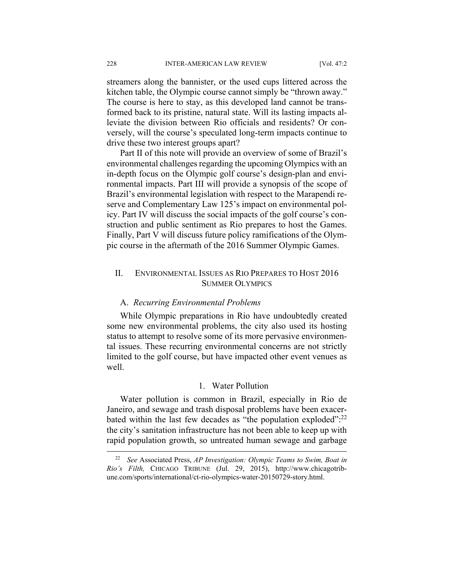streamers along the bannister, or the used cups littered across the kitchen table, the Olympic course cannot simply be "thrown away." The course is here to stay, as this developed land cannot be transformed back to its pristine, natural state. Will its lasting impacts alleviate the division between Rio officials and residents? Or conversely, will the course's speculated long-term impacts continue to drive these two interest groups apart?

Part II of this note will provide an overview of some of Brazil's environmental challenges regarding the upcoming Olympics with an in-depth focus on the Olympic golf course's design-plan and environmental impacts. Part III will provide a synopsis of the scope of Brazil's environmental legislation with respect to the Marapendi reserve and Complementary Law 125's impact on environmental policy. Part IV will discuss the social impacts of the golf course's construction and public sentiment as Rio prepares to host the Games. Finally, Part V will discuss future policy ramifications of the Olympic course in the aftermath of the 2016 Summer Olympic Games.

#### II. ENVIRONMENTAL ISSUES AS RIO PREPARES TO HOST 2016 SUMMER OLYMPICS

#### A. *Recurring Environmental Problems*

While Olympic preparations in Rio have undoubtedly created some new environmental problems, the city also used its hosting status to attempt to resolve some of its more pervasive environmental issues. These recurring environmental concerns are not strictly limited to the golf course, but have impacted other event venues as well.

#### 1. Water Pollution

Water pollution is common in Brazil, especially in Rio de Janeiro, and sewage and trash disposal problems have been exacerbated within the last few decades as "the population exploded":<sup>22</sup> the city's sanitation infrastructure has not been able to keep up with rapid population growth, so untreated human sewage and garbage

 <sup>22</sup> *See* Associated Press, *AP Investigation: Olympic Teams to Swim, Boat in Rio's Filth,* CHICAGO TRIBUNE (Jul. 29, 2015), http://www.chicagotribune.com/sports/international/ct-rio-olympics-water-20150729-story.html.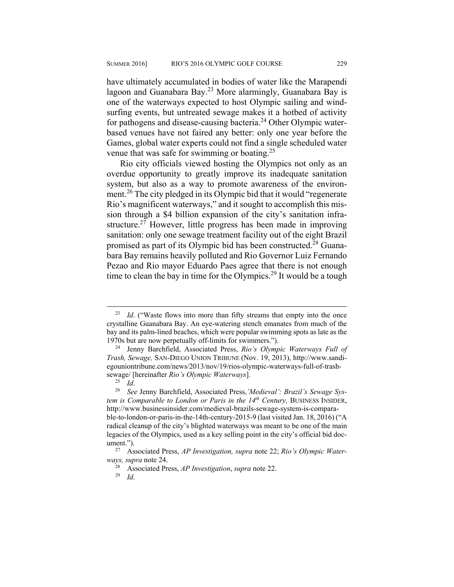have ultimately accumulated in bodies of water like the Marapendi lagoon and Guanabara Bay.<sup>23</sup> More alarmingly, Guanabara Bay is one of the waterways expected to host Olympic sailing and windsurfing events, but untreated sewage makes it a hotbed of activity for pathogens and disease-causing bacteria.<sup>24</sup> Other Olympic waterbased venues have not faired any better: only one year before the Games, global water experts could not find a single scheduled water venue that was safe for swimming or boating.25

Rio city officials viewed hosting the Olympics not only as an overdue opportunity to greatly improve its inadequate sanitation system, but also as a way to promote awareness of the environment.<sup>26</sup> The city pledged in its Olympic bid that it would "regenerate" Rio's magnificent waterways," and it sought to accomplish this mission through a \$4 billion expansion of the city's sanitation infrastructure.<sup>27</sup> However, little progress has been made in improving sanitation: only one sewage treatment facility out of the eight Brazil promised as part of its Olympic bid has been constructed.<sup>28</sup> Guanabara Bay remains heavily polluted and Rio Governor Luiz Fernando Pezao and Rio mayor Eduardo Paes agree that there is not enough time to clean the bay in time for the Olympics.<sup>29</sup> It would be a tough

<sup>&</sup>lt;sup>23</sup> *Id.* ("Waste flows into more than fifty streams that empty into the once crystalline Guanabara Bay. An eye-watering stench emanates from much of the bay and its palm-lined beaches, which were popular swimming spots as late as the 1970s but are now perpetually off-limits for swimmers."). 24 Jenny Barchfield, Associated Press, *Rio's Olympic Waterways Full of* 

*Trash, Sewage,* SAN-DIEGO UNION TRIBUNE (Nov. 19, 2013), http://www.sandiegouniontribune.com/news/2013/nov/19/rios-olympic-waterways-full-of-trash-

sewage/ [hereinafter *Rio's Olympic Waterways*]. 25 *Id*. 26 *See* Jenny Barchfield, Associated Press,*'Medieval': Brazil's Sewage System is Comparable to London or Paris in the 14<sup>th</sup> Century, BUSINESS INSIDER,* http://www.businessinsider.com/medieval-brazils-sewage-system-is-comparable-to-london-or-paris-in-the-14th-century-2015-9 (last visited Jan. 18, 2016) ("A radical cleanup of the city's blighted waterways was meant to be one of the main legacies of the Olympics, used as a key selling point in the city's official bid doc-

ument.").<br><sup>27</sup> Associated Press, *AP Investigation, supra* note 22; *Rio's Olympic Water-ways, supra* note 24.

*ways, supra* note 24. 28 Associated Press, *AP Investigation*, *supra* note 22. 29 *Id*.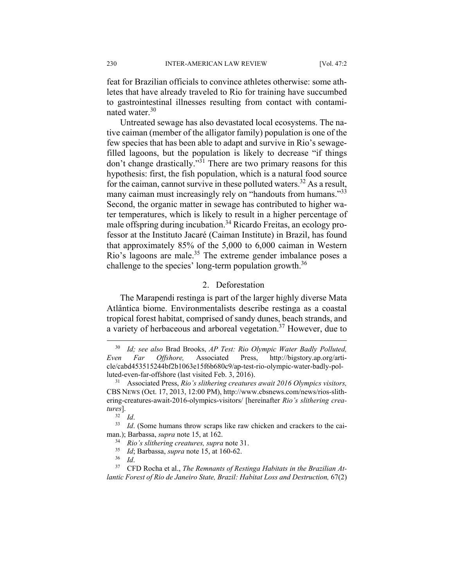feat for Brazilian officials to convince athletes otherwise: some athletes that have already traveled to Rio for training have succumbed to gastrointestinal illnesses resulting from contact with contaminated water.<sup>30</sup>

Untreated sewage has also devastated local ecosystems. The native caiman (member of the alligator family) population is one of the few species that has been able to adapt and survive in Rio's sewagefilled lagoons, but the population is likely to decrease "if things don't change drastically."31 There are two primary reasons for this hypothesis: first, the fish population, which is a natural food source for the caiman, cannot survive in these polluted waters.<sup>32</sup> As a result, many caiman must increasingly rely on "handouts from humans."<sup>33</sup> Second, the organic matter in sewage has contributed to higher water temperatures, which is likely to result in a higher percentage of male offspring during incubation.34 Ricardo Freitas, an ecology professor at the Instituto Jacaré (Caiman Institute) in Brazil, has found that approximately 85% of the 5,000 to 6,000 caiman in Western Rio's lagoons are male.<sup>35</sup> The extreme gender imbalance poses a challenge to the species' long-term population growth.<sup>36</sup>

#### 2. Deforestation

The Marapendi restinga is part of the larger highly diverse Mata Atlântica biome. Environmentalists describe restinga as a coastal tropical forest habitat, comprised of sandy dunes, beach strands, and a variety of herbaceous and arboreal vegetation.37 However, due to

 <sup>30</sup> *Id; see also* Brad Brooks, *AP Test: Rio Olympic Water Badly Polluted, Even Far Offshore,* Associated Press, http://bigstory.ap.org/article/cabd453515244bf2b1063e15f6b680c9/ap-test-rio-olympic-water-badly-polluted-even-far-offshore (last visited Feb. 3, 2016). 31 Associated Press, *Rio's slithering creatures await 2016 Olympics visitors,*

CBS NEWS (Oct. 17, 2013, 12:00 PM), http://www.cbsnews.com/news/rios-slithering-creatures-await-2016-olympics-visitors/ [hereinafter *Rio's slithering creatures*].<br><sup>32</sup> *Id.*<br><sup>33</sup> *Id.* (Some humans throw scraps like raw chicken and crackers to the cai-

man.); Barbassa, *supra* note 15, at 162.<br>
<sup>34</sup> Rio's slithering creatures, *supra* note 31.<br>
<sup>35</sup> Id; Barbassa, *supra* note 15, at 160-62.<br>
<sup>36</sup> Id.<br>
CFD Rocha et al., *The Remnants of Restinga Habitats in the Brazilian* 

*lantic Forest of Rio de Janeiro State, Brazil: Habitat Loss and Destruction, 67(2)*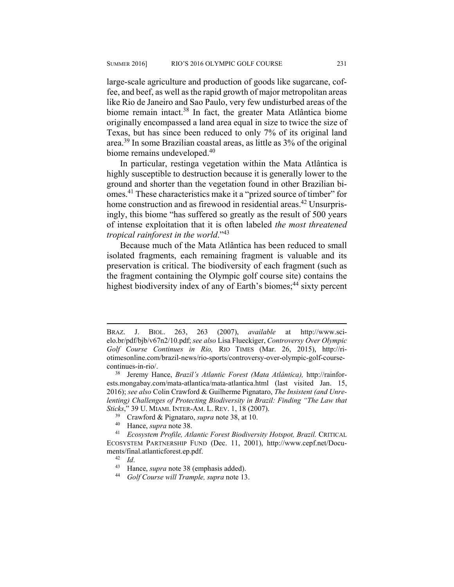large-scale agriculture and production of goods like sugarcane, coffee, and beef, as well as the rapid growth of major metropolitan areas like Rio de Janeiro and Sao Paulo, very few undisturbed areas of the biome remain intact.<sup>38</sup> In fact, the greater Mata Atlântica biome originally encompassed a land area equal in size to twice the size of Texas, but has since been reduced to only 7% of its original land area.39 In some Brazilian coastal areas, as little as 3% of the original biome remains undeveloped.<sup>40</sup>

In particular, restinga vegetation within the Mata Atlântica is highly susceptible to destruction because it is generally lower to the ground and shorter than the vegetation found in other Brazilian biomes.41 These characteristics make it a "prized source of timber" for home construction and as firewood in residential areas.<sup>42</sup> Unsurprisingly, this biome "has suffered so greatly as the result of 500 years of intense exploitation that it is often labeled *the most threatened tropical rainforest in the world*."<sup>43</sup>

Because much of the Mata Atlântica has been reduced to small isolated fragments, each remaining fragment is valuable and its preservation is critical. The biodiversity of each fragment (such as the fragment containing the Olympic golf course site) contains the highest biodiversity index of any of Earth's biomes;<sup>44</sup> sixty percent

- 
- 

- 
- 

BRAZ. J. BIOL. 263, 263 (2007), *available* at http://www.scielo.br/pdf/bjb/v67n2/10.pdf; *see also* Lisa Flueckiger, *Controversy Over Olympic Golf Course Continues in Rio,* RIO TIMES (Mar. 26, 2015), http://riotimesonline.com/brazil-news/rio-sports/controversy-over-olympic-golf-coursecontinues-in-rio/. 38 Jeremy Hance, *Brazil's Atlantic Forest (Mata Atlântica),* http://rainfor-

ests.mongabay.com/mata-atlantica/mata-atlantica.html (last visited Jan. 15, 2016); *see also* Colin Crawford & Guilherme Pignataro, *The Insistent (and Unrelenting)* Challenges of Protecting Biodiversity in Brazil: Finding "The Law that Sticks," 39 U. MIAMI. INTER-AM. L. REV. 1, 18 (2007).<br><sup>39</sup> Crawford & Pignataro, *supra* note 38, at 10.<br><sup>40</sup> Hance, *supra* note 38.<br><sup>41</sup> Ecosystem Profile, Atlantic Forest Biodiversity Hotspot, Brazil. CRITICAL

ECOSYSTEM PARTNERSHIP FUND (Dec. 11, 2001), http://www.cepf.net/Documents/final.atlanticforest.ep.pdf.<br><sup>42</sup> *Id.*<br><sup>43</sup> Hance, *supra* note 38 (emphasis added).<br><sup>44</sup> *Golf Course will Trample, supra* note 13.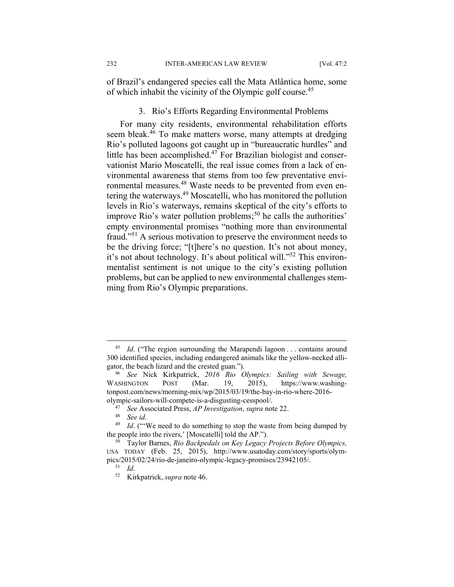of Brazil's endangered species call the Mata Atlântica home, some of which inhabit the vicinity of the Olympic golf course.<sup>45</sup>

#### 3. Rio's Efforts Regarding Environmental Problems

For many city residents, environmental rehabilitation efforts seem bleak.<sup>46</sup> To make matters worse, many attempts at dredging Rio's polluted lagoons got caught up in "bureaucratic hurdles" and little has been accomplished. $47$  For Brazilian biologist and conservationist Mario Moscatelli, the real issue comes from a lack of environmental awareness that stems from too few preventative environmental measures.48 Waste needs to be prevented from even entering the waterways.49 Moscatelli, who has monitored the pollution levels in Rio's waterways, remains skeptical of the city's efforts to improve Rio's water pollution problems; $50$  he calls the authorities' empty environmental promises "nothing more than environmental fraud."51 A serious motivation to preserve the environment needs to be the driving force; "[t]here's no question. It's not about money, it's not about technology. It's about political will."<sup>52</sup> This environmentalist sentiment is not unique to the city's existing pollution problems, but can be applied to new environmental challenges stemming from Rio's Olympic preparations.

<sup>&</sup>lt;sup>45</sup> *Id.* ("The region surrounding the Marapendi lagoon ... contains around 300 identified species, including endangered animals like the yellow-necked alligator, the beach lizard and the crested guan."). 46 *See* Nick Kirkpatrick, *2016 Rio Olympics: Sailing with Sewage,* 

WASHINGTON POST (Mar. 19, 2015), https://www.washingtonpost.com/news/morning-mix/wp/2015/03/19/the-bay-in-rio-where-2016-

olympic-sailors-will-compete-is-a-disgusting-cesspool/.<br><sup>47</sup> See Associated Press, AP Investigation, supra note 22.<br><sup>48</sup> See id.<br><sup>49</sup> Id. ("We need to do something to stop the waste from being dumped by the people into the rivers,' [Moscatelli] told the AP."). 50 Taylor Barnes, *Rio Backpedals on Key Legacy Projects Before Olympics,* 

USA TODAY (Feb. 25, 2015), http://www.usatoday.com/story/sports/olympics/2015/02/24/rio-de-janeiro-olympic-legacy-promises/23942105/. 51 *Id*. 52 Kirkpatrick, *supra* note 46.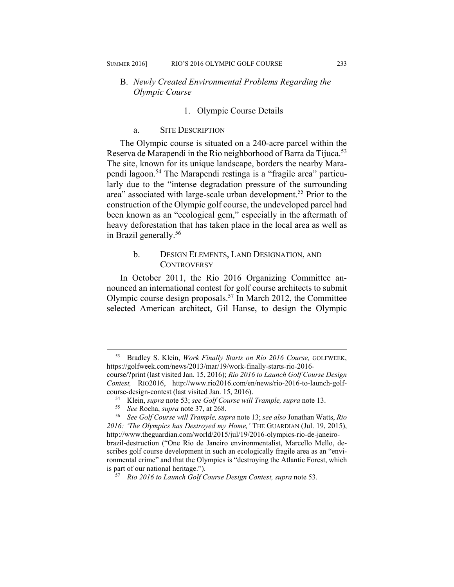#### B. *Newly Created Environmental Problems Regarding the Olympic Course*

#### 1. Olympic Course Details

#### a. SITE DESCRIPTION

The Olympic course is situated on a 240-acre parcel within the Reserva de Marapendi in the Rio neighborhood of Barra da Tijuca.<sup>53</sup> The site, known for its unique landscape, borders the nearby Marapendi lagoon.54 The Marapendi restinga is a "fragile area" particularly due to the "intense degradation pressure of the surrounding area" associated with large-scale urban development.<sup>55</sup> Prior to the construction of the Olympic golf course, the undeveloped parcel had been known as an "ecological gem," especially in the aftermath of heavy deforestation that has taken place in the local area as well as in Brazil generally.<sup>56</sup>

#### b. DESIGN ELEMENTS, LAND DESIGNATION, AND **CONTROVERSY**

In October 2011, the Rio 2016 Organizing Committee announced an international contest for golf course architects to submit Olympic course design proposals.<sup>57</sup> In March 2012, the Committee selected American architect, Gil Hanse, to design the Olympic

 <sup>53</sup> Bradley S. Klein, *Work Finally Starts on Rio 2016 Course,* GOLFWEEK, https://golfweek.com/news/2013/mar/19/work-finally-starts-rio-2016 course/?print (last visited Jan. 15, 2016); *Rio 2016 to Launch Golf Course Design Contest,* RIO2016, http://www.rio2016.com/en/news/rio-2016-to-launch-golfcourse-design-contest (last visited Jan. 15, 2016).<br><sup>54</sup> Klein, *supra* note 53; *see Golf Course will Trample, supra* note 13.<br><sup>55</sup> See Rocha, *supra* note 37, at 268.<br><sup>56</sup> See Golf Course will Trample, *supra* note 13;

*<sup>2016: &#</sup>x27;The Olympics has Destroyed my Home,'* THE GUARDIAN (Jul. 19, 2015), http://www.theguardian.com/world/2015/jul/19/2016-olympics-rio-de-janeirobrazil-destruction ("One Rio de Janeiro environmentalist, Marcello Mello, describes golf course development in such an ecologically fragile area as an "environmental crime" and that the Olympics is "destroying the Atlantic Forest, which is part of our national heritage.").

<sup>&</sup>lt;sup>57</sup> Rio 2016 to Launch Golf Course Design Contest, supra note 53.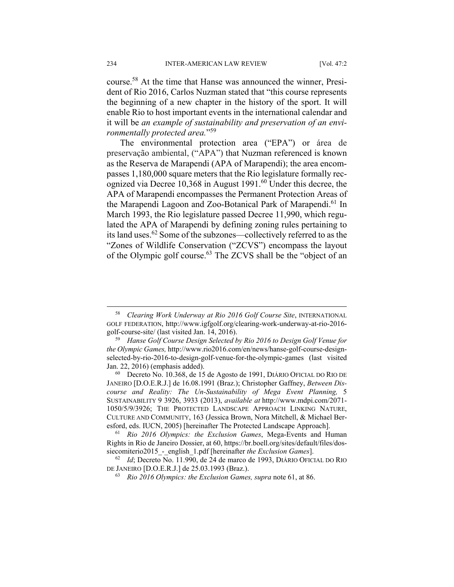course.58 At the time that Hanse was announced the winner, President of Rio 2016, Carlos Nuzman stated that "this course represents the beginning of a new chapter in the history of the sport. It will enable Rio to host important events in the international calendar and it will be *an example of sustainability and preservation of an environmentally protected area.*"59

The environmental protection area ("EPA") or área de preservação ambiental, ("APA") that Nuzman referenced is known as the Reserva de Marapendi (APA of Marapendi); the area encompasses 1,180,000 square meters that the Rio legislature formally recognized via Decree 10,368 in August 1991.60 Under this decree, the APA of Marapendi encompasses the Permanent Protection Areas of the Marapendi Lagoon and Zoo-Botanical Park of Marapendi.<sup>61</sup> In March 1993, the Rio legislature passed Decree 11,990, which regulated the APA of Marapendi by defining zoning rules pertaining to its land uses.62 Some of the subzones—collectively referred to as the "Zones of Wildlife Conservation ("ZCVS") encompass the layout of the Olympic golf course.63 The ZCVS shall be the "object of an

 <sup>58</sup> *Clearing Work Underway at Rio 2016 Golf Course Site*, INTERNATIONAL GOLF FEDERATION, http://www.igfgolf.org/clearing-work-underway-at-rio-2016-

golf-course-site/ (last visited Jan. 14, 2016). 59 *Hanse Golf Course Design Selected by Rio 2016 to Design Golf Venue for the Olympic Games,* http://www.rio2016.com/en/news/hanse-golf-course-designselected-by-rio-2016-to-design-golf-venue-for-the-olympic-games (last visited Jan. 22, 2016) (emphasis added).<br><sup>60</sup> Decreto No. 10.368, de 15 de Agosto de 1991, DIÁRIO OFICIAL DO RIO DE

JANEIRO [D.O.E.R.J.] de 16.08.1991 (Braz.); Christopher Gaffney, *Between Discourse and Reality: The Un-Sustainability of Mega Event Planning,* 5 SUSTAINABILITY 9 3926, 3933 (2013), *available at* http://www.mdpi.com/2071- 1050/5/9/3926; THE PROTECTED LANDSCAPE APPROACH LINKING NATURE, CULTURE AND COMMUNITY, 163 (Jessica Brown, Nora Mitchell, & Michael Beresford, eds. IUCN, 2005) [hereinafter The Protected Landscape Approach]. 61 *Rio 2016 Olympics: the Exclusion Games*, Mega-Events and Human

Rights in Rio de Janeiro Dossier, at 60, https://br.boell.org/sites/default/files/dossiecomiterio2015<sub>\_-\_</sub>english\_1.pdf [hereinafter *the Exclusion Games*].<br><sup>62</sup> *Id*; Decreto No. 11.990, de 24 de marco de 1993, DIÁRIO OFICIAL DO RIO

DE JANEIRO [D.O.E.R.J.] de 25.03.1993 (Braz.). 63 *Rio 2016 Olympics: the Exclusion Games, supra* note 61, at 86.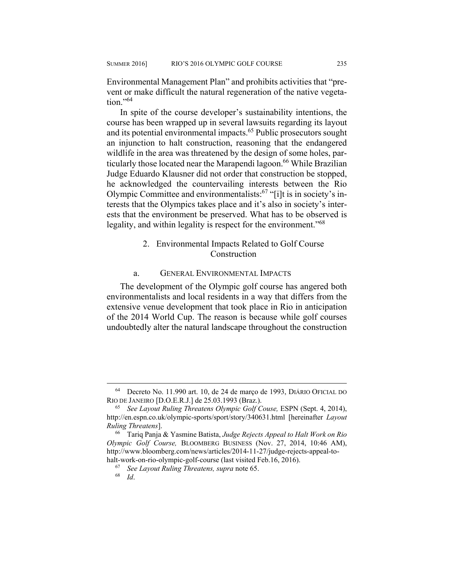Environmental Management Plan" and prohibits activities that "prevent or make difficult the natural regeneration of the native vegetation $^{,64}$ 

In spite of the course developer's sustainability intentions, the course has been wrapped up in several lawsuits regarding its layout and its potential environmental impacts.<sup>65</sup> Public prosecutors sought an injunction to halt construction, reasoning that the endangered wildlife in the area was threatened by the design of some holes, particularly those located near the Marapendi lagoon.<sup>66</sup> While Brazilian Judge Eduardo Klausner did not order that construction be stopped, he acknowledged the countervailing interests between the Rio Olympic Committee and environmentalists:67 "[i]t is in society's interests that the Olympics takes place and it's also in society's interests that the environment be preserved. What has to be observed is legality, and within legality is respect for the environment.<sup>768</sup>

#### 2. Environmental Impacts Related to Golf Course Construction

#### a. GENERAL ENVIRONMENTAL IMPACTS

The development of the Olympic golf course has angered both environmentalists and local residents in a way that differs from the extensive venue development that took place in Rio in anticipation of the 2014 World Cup. The reason is because while golf courses undoubtedly alter the natural landscape throughout the construction

 <sup>64</sup> Decreto No. 11.990 art. 10, de 24 de março de 1993, DIÁRIO OFICIAL DO RIO DE JANEIRO [D.O.E.R.J.] de 25.03.1993 (Braz.). 65 *See Layout Ruling Threatens Olympic Golf Couse,* ESPN (Sept. 4, 2014),

http://en.espn.co.uk/olympic-sports/sport/story/340631.html [hereinafter *Layout Ruling Threatens*]. 66 Tariq Panja & Yasmine Batista, *Judge Rejects Appeal to Halt Work on Rio* 

*Olympic Golf Course,* BLOOMBERG BUSINESS (Nov. 27, 2014, 10:46 AM), http://www.bloomberg.com/news/articles/2014-11-27/judge-rejects-appeal-tohalt-work-on-rio-olympic-golf-course (last visited Feb.16, 2016). 67 *See Layout Ruling Threatens, supra* note 65. 68 *Id*.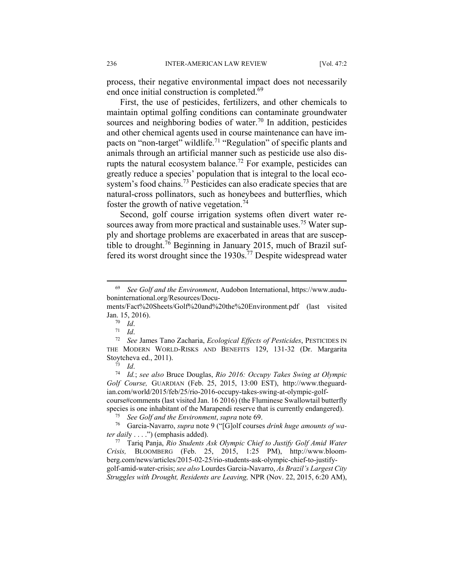process, their negative environmental impact does not necessarily end once initial construction is completed.<sup>69</sup>

First, the use of pesticides, fertilizers, and other chemicals to maintain optimal golfing conditions can contaminate groundwater sources and neighboring bodies of water.<sup>70</sup> In addition, pesticides and other chemical agents used in course maintenance can have impacts on "non-target" wildlife.71 "Regulation" of specific plants and animals through an artificial manner such as pesticide use also disrupts the natural ecosystem balance.<sup>72</sup> For example, pesticides can greatly reduce a species' population that is integral to the local ecosystem's food chains.<sup>73</sup> Pesticides can also eradicate species that are natural-cross pollinators, such as honeybees and butterflies, which foster the growth of native vegetation.<sup>74</sup>

Second, golf course irrigation systems often divert water resources away from more practical and sustainable uses.<sup>75</sup> Water supply and shortage problems are exacerbated in areas that are susceptible to drought.76 Beginning in January 2015, much of Brazil suffered its worst drought since the 1930s.<sup>77</sup> Despite widespread water

*Golf Course,* GUARDIAN (Feb. 25, 2015, 13:00 EST), http://www.theguardian.com/world/2015/feb/25/rio-2016-occupy-takes-swing-at-olympic-golfcourse#comments (last visited Jan. 16 2016) (the Fluminese Swallowtail butterfly

species is one inhabitant of the Marapendi reserve that is currently endangered).<br><sup>75</sup> See Golf and the Environment, supra note 69.<br><sup>76</sup> Garcia-Navarro, *supra* note 9 ("[G]olf courses drink huge amounts of wa-

*ter dail*y . . . .") (emphasis added). 77 Tariq Panja, *Rio Students Ask Olympic Chief to Justify Golf Amid Water Crisis,* BLOOMBERG (Feb. 25, 2015, 1:25 PM), http://www.bloomberg.com/news/articles/2015-02-25/rio-students-ask-olympic-chief-to-justifygolf-amid-water-crisis; *see also* Lourdes Garcia-Navarro, *As Brazil's Largest City Struggles with Drought, Residents are Leaving,* NPR (Nov. 22, 2015, 6:20 AM),

 <sup>69</sup> *See Golf and the Environment*, Audobon International, https://www.auduboninternational.org/Resources/Docu-

ments/Fact%20Sheets/Golf%20and%20the%20Environment.pdf (last visited Jan. 15, 2016). 70 *Id*. 71 *Id*. 72 *See* James Tano Zacharia, *Ecological Effects of Pesticides*, PESTICIDES IN

THE MODERN WORLD-RISKS AND BENEFITS 129, 131-32 (Dr. Margarita Stoytcheva ed., 2011). 73 *Id*. 74 *Id.*; *see also* Bruce Douglas, *Rio 2016: Occupy Takes Swing at Olympic*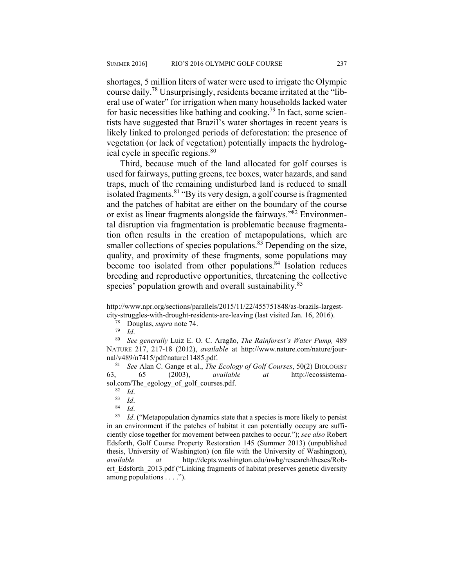shortages, 5 million liters of water were used to irrigate the Olympic course daily.78 Unsurprisingly, residents became irritated at the "liberal use of water" for irrigation when many households lacked water for basic necessities like bathing and cooking.<sup>79</sup> In fact, some scientists have suggested that Brazil's water shortages in recent years is likely linked to prolonged periods of deforestation: the presence of vegetation (or lack of vegetation) potentially impacts the hydrological cycle in specific regions.<sup>80</sup>

Third, because much of the land allocated for golf courses is used for fairways, putting greens, tee boxes, water hazards, and sand traps, much of the remaining undisturbed land is reduced to small isolated fragments.<sup>81</sup> "By its very design, a golf course is fragmented and the patches of habitat are either on the boundary of the course or exist as linear fragments alongside the fairways.<sup> $\frac{3}{82}$ </sup> Environmental disruption via fragmentation is problematic because fragmentation often results in the creation of metapopulations, which are smaller collections of species populations. $83$  Depending on the size, quality, and proximity of these fragments, some populations may become too isolated from other populations.<sup>84</sup> Isolation reduces breeding and reproductive opportunities, threatening the collective species' population growth and overall sustainability.<sup>85</sup>

 $\overline{a}$ 

<sup>81</sup> *See* Alan C. Gange et al., *The Ecology of Golf Courses*, 50(2) BIOLOGIST 63, 65 (2003), *available at* http://ecossistemasol.com/The\_egology\_of\_golf\_courses.pdf.<br><sup>82</sup> *Id.*<br><sup>84</sup> *Id.* 84<br>*85 Id.* ("Metapopulation dynamics state that a species is more likely to persist

in an environment if the patches of habitat it can potentially occupy are sufficiently close together for movement between patches to occur."); *see also* Robert Edsforth, Golf Course Property Restoration 145 (Summer 2013) (unpublished thesis, University of Washington) (on file with the University of Washington), *available at* http://depts.washington.edu/uwbg/research/theses/Robert Edsforth 2013.pdf ("Linking fragments of habitat preserves genetic diversity among populations . . . .").

http://www.npr.org/sections/parallels/2015/11/22/455751848/as-brazils-largestcity-struggles-with-drought-residents-are-leaving (last visited Jan. 16, 2016). 78 Douglas, *supra* note 74.

<sup>&</sup>lt;sup>79</sup> Id.<br><sup>80</sup> See generally Luiz E. O. C. Aragão, *The Rainforest's Water Pump*, 489 NATURE 217, 217-18 (2012), *available* at http://www.nature.com/nature/journal/v489/n7415/pdf/nature11485.pdf.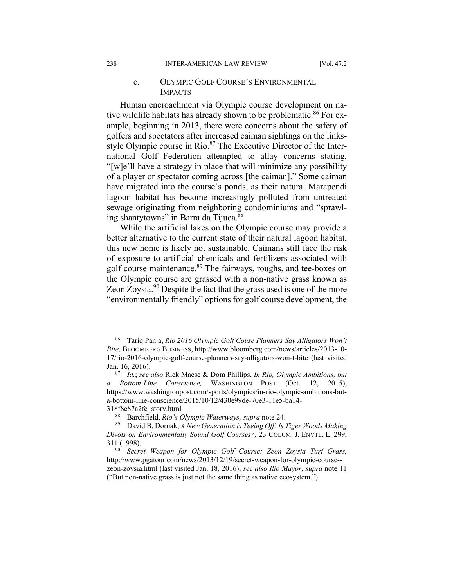#### c. OLYMPIC GOLF COURSE'S ENVIRONMENTAL IMPACTS

Human encroachment via Olympic course development on native wildlife habitats has already shown to be problematic.<sup>86</sup> For example, beginning in 2013, there were concerns about the safety of golfers and spectators after increased caiman sightings on the linksstyle Olympic course in  $Rio.<sup>87</sup>$  The Executive Director of the International Golf Federation attempted to allay concerns stating, "[w]e'll have a strategy in place that will minimize any possibility of a player or spectator coming across [the caiman]." Some caiman have migrated into the course's ponds, as their natural Marapendi lagoon habitat has become increasingly polluted from untreated sewage originating from neighboring condominiums and "sprawling shantytowns" in Barra da Tijuca.<sup>88</sup>

While the artificial lakes on the Olympic course may provide a better alternative to the current state of their natural lagoon habitat, this new home is likely not sustainable. Caimans still face the risk of exposure to artificial chemicals and fertilizers associated with golf course maintenance.<sup>89</sup> The fairways, roughs, and tee-boxes on the Olympic course are grassed with a non-native grass known as Zeon Zoysia.90 Despite the fact that the grass used is one of the more "environmentally friendly" options for golf course development, the

 <sup>86</sup> Tariq Panja, *Rio 2016 Olympic Golf Couse Planners Say Alligators Won't Bite,* BLOOMBERG BUSINESS, http://www.bloomberg.com/news/articles/2013-10- 17/rio-2016-olympic-golf-course-planners-say-alligators-won-t-bite (last visited Jan. 16, 2016). 87 *Id.*; *see also* Rick Maese & Dom Phillips, *In Rio, Olympic Ambitions, but* 

*a Bottom-Line Conscience,* WASHINGTON POST (Oct. 12, 2015), https://www.washingtonpost.com/sports/olympics/in-rio-olympic-ambitions-buta-bottom-line-conscience/2015/10/12/430e99de-70e3-11e5-ba14-

<sup>318</sup>f8e87a2fc\_story.html 88 Barchfield, *Rio's Olympic Waterways, supra* note 24. 89 David B. Dornak, *A New Generation is Teeing Off: Is Tiger Woods Making Divots on Environmentally Sound Golf Courses?,* 23 COLUM. J. ENVTL. L. 299, 311 (1998). 90 *Secret Weapon for Olympic Golf Course: Zeon Zoysia Turf Grass,* 

http://www.pgatour.com/news/2013/12/19/secret-weapon-for-olympic-course- zeon-zoysia.html (last visited Jan. 18, 2016); *see also Rio Mayor, supra* note 11 ("But non-native grass is just not the same thing as native ecosystem.").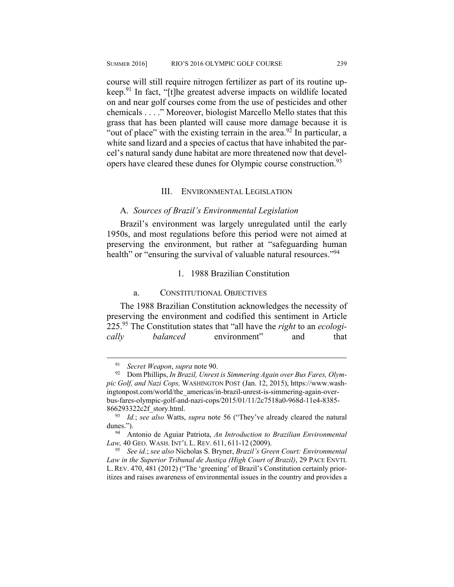course will still require nitrogen fertilizer as part of its routine upkeep.91 In fact, "[t]he greatest adverse impacts on wildlife located on and near golf courses come from the use of pesticides and other chemicals . . . ." Moreover, biologist Marcello Mello states that this grass that has been planted will cause more damage because it is "out of place" with the existing terrain in the area.<sup>92</sup> In particular, a white sand lizard and a species of cactus that have inhabited the parcel's natural sandy dune habitat are more threatened now that developers have cleared these dunes for Olympic course construction.<sup>93</sup>

#### III. ENVIRONMENTAL LEGISLATION

#### A. *Sources of Brazil's Environmental Legislation*

Brazil's environment was largely unregulated until the early 1950s, and most regulations before this period were not aimed at preserving the environment, but rather at "safeguarding human health" or "ensuring the survival of valuable natural resources."<sup>94</sup>

#### 1. 1988 Brazilian Constitution

#### a. CONSTITUTIONAL OBJECTIVES

The 1988 Brazilian Constitution acknowledges the necessity of preserving the environment and codified this sentiment in Article 225.95 The Constitution states that "all have the *right* to an *ecologically balanced* environment" and that

<sup>&</sup>lt;sup>91</sup> Secret Weapon, supra note 90.<br><sup>92</sup> Dom Phillips, *In Brazil, Unrest is Simmering Again over Bus Fares, Olympic Golf, and Nazi Cops,* WASHINGTON POST (Jan. 12, 2015), https://www.washingtonpost.com/world/the\_americas/in-brazil-unrest-is-simmering-again-overbus-fares-olympic-golf-and-nazi-cops/2015/01/11/2c7518a0-968d-11e4-8385- 866293322c2f\_story.html. 93 *Id.*; *see also* Watts, *supra* note 56 ("They've already cleared the natural

dunes."). 94 Antonio de Aguiar Patriota, *An Introduction to Brazilian Environmental* 

*Law,*<sup>40</sup> GEO. WASH. INT'L L. REV. 611, 611-12 (2009). 95 *See id.*; *see also* Nicholas S. Bryner, *Brazil's Green Court: Environmental* 

*Law in the Superior Tribunal de Justiça (High Court of Brazil)*, 29 PACE ENVTL L. REV. 470, 481 (2012) ("The 'greening' of Brazil's Constitution certainly prioritizes and raises awareness of environmental issues in the country and provides a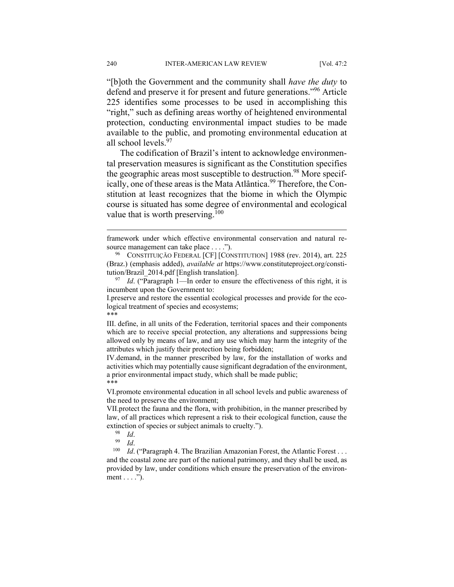"[b]oth the Government and the community shall *have the duty* to defend and preserve it for present and future generations."96 Article 225 identifies some processes to be used in accomplishing this "right," such as defining areas worthy of heightened environmental protection, conducting environmental impact studies to be made available to the public, and promoting environmental education at all school levels.<sup>97</sup>

The codification of Brazil's intent to acknowledge environmental preservation measures is significant as the Constitution specifies the geographic areas most susceptible to destruction.<sup>98</sup> More specifically, one of these areas is the Mata Atlântica.<sup>99</sup> Therefore, the Constitution at least recognizes that the biome in which the Olympic course is situated has some degree of environmental and ecological value that is worth preserving.<sup>100</sup>

\*\*\*

1

framework under which effective environmental conservation and natural re-

source management can take place . . . .").<br><sup>96</sup> CONSTITUIÇÃO FEDERAL [CF] [CONSTITUTION] 1988 (rev. 2014), art. 225 (Braz.) (emphasis added), *available at* https://www.constituteproject.org/constitution/Brazil\_2014.pdf [English translation]. 97 *Id*. ("Paragraph 1—In order to ensure the effectiveness of this right, it is

incumbent upon the Government to:

I.preserve and restore the essential ecological processes and provide for the ecological treatment of species and ecosystems;

III. define, in all units of the Federation, territorial spaces and their components which are to receive special protection, any alterations and suppressions being allowed only by means of law, and any use which may harm the integrity of the attributes which justify their protection being forbidden;

IV.demand, in the manner prescribed by law, for the installation of works and activities which may potentially cause significant degradation of the environment, a prior environmental impact study, which shall be made public; \*\*\*

VI.promote environmental education in all school levels and public awareness of the need to preserve the environment;

VII.protect the fauna and the flora, with prohibition, in the manner prescribed by law, of all practices which represent a risk to their ecological function, cause the extinction of species or subject animals to cruelty.").<br><sup>98</sup> *Id.*<br><sup>99</sup> *Id.* ("Paragraph 4. The Brazilian Amazonian Forest, the Atlantic Forest . . .

and the coastal zone are part of the national patrimony, and they shall be used, as provided by law, under conditions which ensure the preservation of the environment . . . .").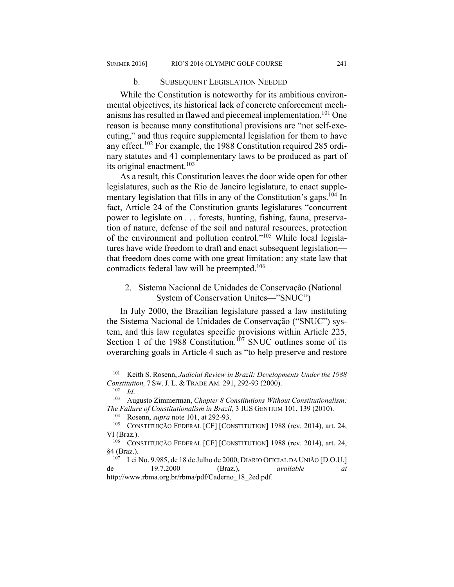#### b. SUBSEQUENT LEGISLATION NEEDED

While the Constitution is noteworthy for its ambitious environmental objectives, its historical lack of concrete enforcement mechanisms has resulted in flawed and piecemeal implementation.<sup>101</sup> One reason is because many constitutional provisions are "not self-executing," and thus require supplemental legislation for them to have any effect.102 For example, the 1988 Constitution required 285 ordinary statutes and 41 complementary laws to be produced as part of its original enactment.<sup>103</sup>

As a result, this Constitution leaves the door wide open for other legislatures, such as the Rio de Janeiro legislature, to enact supplementary legislation that fills in any of the Constitution's gaps.<sup>104</sup> In fact, Article 24 of the Constitution grants legislatures "concurrent power to legislate on . . . forests, hunting, fishing, fauna, preservation of nature, defense of the soil and natural resources, protection of the environment and pollution control."105 While local legislatures have wide freedom to draft and enact subsequent legislation that freedom does come with one great limitation: any state law that contradicts federal law will be preempted.<sup>106</sup>

#### 2. Sistema Nacional de Unidades de Conservação (National System of Conservation Unites—"SNUC")

In July 2000, the Brazilian legislature passed a law instituting the Sistema Nacional de Unidades de Conservação ("SNUC") system, and this law regulates specific provisions within Article 225, Section 1 of the 1988 Constitution.<sup>107</sup> SNUC outlines some of its overarching goals in Article 4 such as "to help preserve and restore

<sup>101</sup> Keith S. Rosenn, *Judicial Review in Brazil: Developments Under the 1988 Constitution,* 7 SW. J. L. & TRADE AM. 291, 292-93 (2000).<br><sup>102</sup> *Id.* Augusto Zimmerman, *Chapter 8 Constitutions Without Constitutionalism*:

*The Failure of Constitutionalism in Brazil*, 3 IUS GENTIUM 101, 139 (2010).<br><sup>104</sup> Rosenn, *supra* note 101, at 292-93.<br><sup>105</sup> CONSTITUIÇÃO FEDERAL [CF] [CONSTITUTION] 1988 (rev. 2014), art. 24,

VI (Braz.).

<sup>106</sup> CONSTITUIÇÃO FEDERAL [CF] [CONSTITUTION] 1988 (rev. 2014), art. 24, §4 (Braz.). 107 Lei No. 9.985, de 18 de Julho de 2000, DIÁRIO OFICIAL DA UNIÃO [D.O.U.]

de 19.7.2000 (Braz.), *available at*  http://www.rbma.org.br/rbma/pdf/Caderno\_18\_2ed.pdf.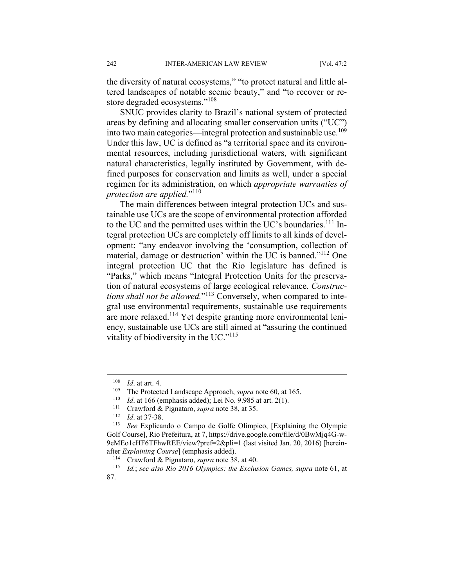the diversity of natural ecosystems," "to protect natural and little altered landscapes of notable scenic beauty," and "to recover or restore degraded ecosystems."<sup>108</sup>

SNUC provides clarity to Brazil's national system of protected areas by defining and allocating smaller conservation units ("UC") into two main categories—integral protection and sustainable use.<sup>109</sup> Under this law, UC is defined as "a territorial space and its environmental resources, including jurisdictional waters, with significant natural characteristics, legally instituted by Government, with defined purposes for conservation and limits as well, under a special regimen for its administration, on which *appropriate warranties of protection are applied.*"<sup>110</sup>

The main differences between integral protection UCs and sustainable use UCs are the scope of environmental protection afforded to the UC and the permitted uses within the UC's boundaries.<sup>111</sup> Integral protection UCs are completely off limits to all kinds of development: "any endeavor involving the 'consumption, collection of material, damage or destruction' within the UC is banned."<sup>112</sup> One integral protection UC that the Rio legislature has defined is "Parks," which means "Integral Protection Units for the preservation of natural ecosystems of large ecological relevance. *Constructions shall not be allowed.*"113 Conversely, when compared to integral use environmental requirements, sustainable use requirements are more relaxed.114 Yet despite granting more environmental leniency, sustainable use UCs are still aimed at "assuring the continued vitality of biodiversity in the UC." $115$ 

<u>.</u>

<sup>&</sup>lt;sup>108</sup> *Id.* at art. 4.<br>
<sup>109</sup> *Id.* at 166 (emphasis added); Lei No. 9.985 at art. 2(1).<br>
<sup>110</sup> *Id.* at 166 (emphasis added); Lei No. 9.985 at art. 2(1).<br>
<sup>111</sup> Crawford & Pignataro, *supra* note 38, at 35.<br>
<sup>112</sup> *Id.* Golf Course], Rio Prefeitura, at 7, https://drive.google.com/file/d/0BwMjq4G-w-9eMEo1cHF6TFhwREE/view?pref=2&pli=1 (last visited Jan. 20, 2016) [hereinafter *Explaining Course*] (emphasis added).

<sup>114</sup> Crawford & Pignataro, *supra* note 38, at 40. 115 *Id.*; *see also Rio 2016 Olympics: the Exclusion Games, supra* note 61, at 87.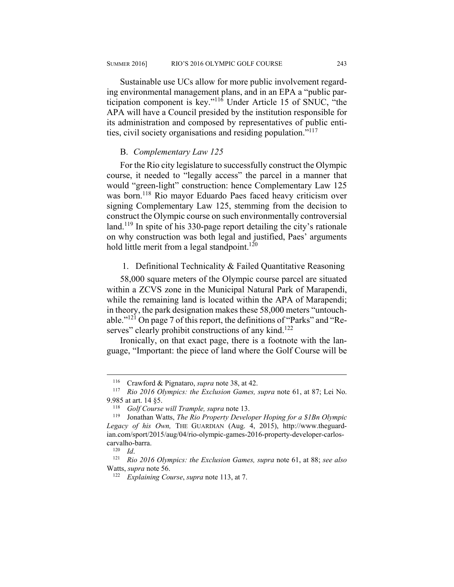Sustainable use UCs allow for more public involvement regarding environmental management plans, and in an EPA a "public participation component is key."116 Under Article 15 of SNUC, "the APA will have a Council presided by the institution responsible for its administration and composed by representatives of public entities, civil society organisations and residing population."117

#### B. *Complementary Law 125*

For the Rio city legislature to successfully construct the Olympic course, it needed to "legally access" the parcel in a manner that would "green-light" construction: hence Complementary Law 125 was born.<sup>118</sup> Rio mayor Eduardo Paes faced heavy criticism over signing Complementary Law 125, stemming from the decision to construct the Olympic course on such environmentally controversial land.<sup>119</sup> In spite of his 330-page report detailing the city's rationale on why construction was both legal and justified, Paes' arguments hold little merit from a legal standpoint.<sup>120</sup>

#### 1. Definitional Technicality & Failed Quantitative Reasoning

58,000 square meters of the Olympic course parcel are situated within a ZCVS zone in the Municipal Natural Park of Marapendi, while the remaining land is located within the APA of Marapendi; in theory, the park designation makes these 58,000 meters "untouchable."121 On page 7 of this report, the definitions of "Parks" and "Reserves" clearly prohibit constructions of any kind.<sup>122</sup>

Ironically, on that exact page, there is a footnote with the language, "Important: the piece of land where the Golf Course will be

<sup>116</sup> Crawford & Pignataro, *supra* note 38, at 42. 117 *Rio 2016 Olympics: the Exclusion Games, supra* note 61, at 87; Lei No. 9.985 at art. 14 §5.<br><sup>118</sup> *Golf Course will Trample, supra* note 13.<br><sup>119</sup> Jonathan Watts, *The Rio Property Developer Hoping for a \$1Bn Olympic* 

*Legacy of his Own,* THE GUARDIAN (Aug. 4, 2015), http://www.theguardian.com/sport/2015/aug/04/rio-olympic-games-2016-property-developer-carloscarvalho-barra. 120 *Id*. 121 *Rio 2016 Olympics: the Exclusion Games, supra* note 61, at 88; *see also* 

Watts, *supra* note 56. 122 *Explaining Course*, *supra* note 113, at 7.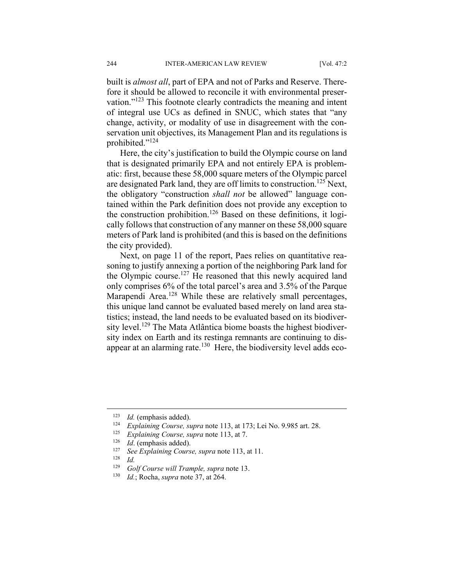built is *almost all*, part of EPA and not of Parks and Reserve. Therefore it should be allowed to reconcile it with environmental preservation."123 This footnote clearly contradicts the meaning and intent of integral use UCs as defined in SNUC, which states that "any change, activity, or modality of use in disagreement with the conservation unit objectives, its Management Plan and its regulations is prohibited."124

Here, the city's justification to build the Olympic course on land that is designated primarily EPA and not entirely EPA is problematic: first, because these 58,000 square meters of the Olympic parcel are designated Park land, they are off limits to construction.125 Next, the obligatory "construction *shall not* be allowed" language contained within the Park definition does not provide any exception to the construction prohibition.<sup>126</sup> Based on these definitions, it logically follows that construction of any manner on these 58,000 square meters of Park land is prohibited (and this is based on the definitions the city provided).

Next, on page 11 of the report, Paes relies on quantitative reasoning to justify annexing a portion of the neighboring Park land for the Olympic course.<sup>127</sup> He reasoned that this newly acquired land only comprises 6% of the total parcel's area and 3.5% of the Parque Marapendi Area.<sup>128</sup> While these are relatively small percentages, this unique land cannot be evaluated based merely on land area statistics; instead, the land needs to be evaluated based on its biodiversity level.<sup>129</sup> The Mata Atlântica biome boasts the highest biodiversity index on Earth and its restinga remnants are continuing to disappear at an alarming rate.<sup>130</sup> Here, the biodiversity level adds eco-

1

<sup>&</sup>lt;sup>123</sup> *Id.* (emphasis added).<br>
<sup>124</sup> *Explaining Course, supra* note 113, at 173; Lei No. 9.985 art. 28.<br>
<sup>125</sup> *Explaining Course, supra* note 113, at 7.<br>
<sup>126</sup> *Id.* (emphasis added).<br>
<sup>127</sup> *See Explaining Course, supr* 

<sup>129</sup> *Golf Course will Trample, supra* note 13. 130 *Id.*; Rocha, *supra* note 37, at 264.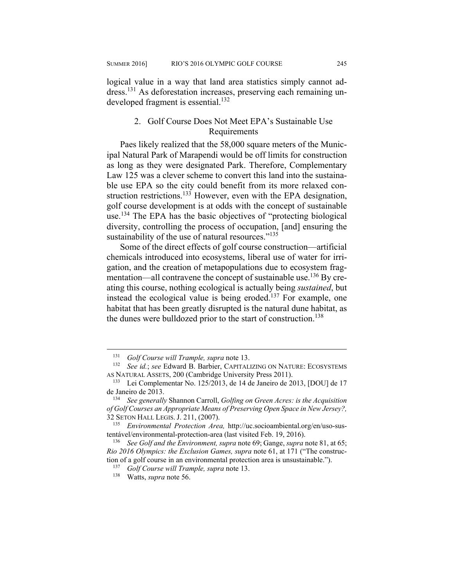logical value in a way that land area statistics simply cannot address.131 As deforestation increases, preserving each remaining undeveloped fragment is essential.<sup>132</sup>

#### 2. Golf Course Does Not Meet EPA's Sustainable Use Requirements

Paes likely realized that the 58,000 square meters of the Municipal Natural Park of Marapendi would be off limits for construction as long as they were designated Park. Therefore, Complementary Law 125 was a clever scheme to convert this land into the sustainable use EPA so the city could benefit from its more relaxed construction restrictions.<sup>133</sup> However, even with the EPA designation, golf course development is at odds with the concept of sustainable use.134 The EPA has the basic objectives of "protecting biological diversity, controlling the process of occupation, [and] ensuring the sustainability of the use of natural resources."<sup>135</sup>

Some of the direct effects of golf course construction—artificial chemicals introduced into ecosystems, liberal use of water for irrigation, and the creation of metapopulations due to ecosystem fragmentation—all contravene the concept of sustainable use.<sup>136</sup> By creating this course, nothing ecological is actually being *sustained*, but instead the ecological value is being eroded.<sup>137</sup> For example, one habitat that has been greatly disrupted is the natural dune habitat, as the dunes were bulldozed prior to the start of construction.<sup>138</sup>

<sup>131</sup> *Golf Course will Trample, supra* note 13.

<sup>132</sup> *See id.*; *see* Edward B. Barbier, CAPITALIZING ON NATURE: ECOSYSTEMS

AS NATURAL ASSETS, 200 (Cambridge University Press 2011).<br><sup>133</sup> Lei Complementar No. 125/2013, de 14 de Janeiro de 2013, [DOU] de 17 de Janeiro de 2013. 134 *See generally* Shannon Carroll, *Golfing on Green Acres: is the Acquisition* 

*of Golf Courses an Appropriate Means of Preserving Open Space in New Jersey?,*  32 SETON HALL LEGIS. J. 211, (2007). 135 *Environmental Protection Area,* http://uc.socioambiental.org/en/uso-sus-

tentável/environmental-protection-area (last visited Feb. 19, 2016). 136 *See Golf and the Environment, supra* note 69; Gange, *supra* note 81, at 65;

*Rio 2016 Olympics: the Exclusion Games, supra* note 61, at 171 ("The construction of a golf course in an environmental protection area is unsustainable."). 137 *Golf Course will Trample, supra* note 13. 138 Watts, *supra* note 56.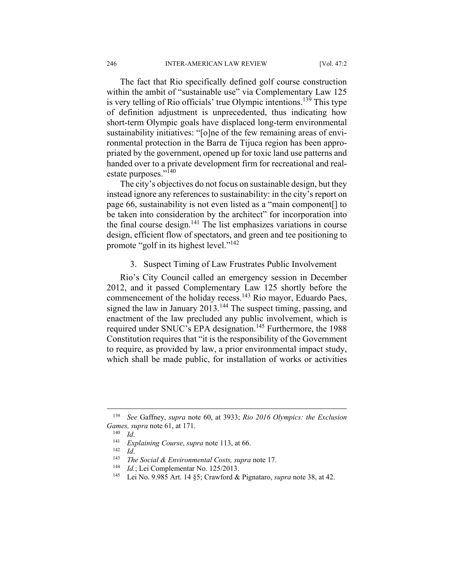The fact that Rio specifically defined golf course construction within the ambit of "sustainable use" via Complementary Law 125 is very telling of Rio officials' true Olympic intentions.139 This type of definition adjustment is unprecedented, thus indicating how short-term Olympic goals have displaced long-term environmental sustainability initiatives: "[o]ne of the few remaining areas of environmental protection in the Barra de Tijuca region has been appropriated by the government, opened up for toxic land use patterns and handed over to a private development firm for recreational and realestate purposes."140

The city's objectives do not focus on sustainable design, but they instead ignore any references to sustainability: in the city's report on page 66, sustainability is not even listed as a "main component[] to be taken into consideration by the architect" for incorporation into the final course design. $141$  The list emphasizes variations in course design, efficient flow of spectators, and green and tee positioning to promote "golf in its highest level."142

#### 3. Suspect Timing of Law Frustrates Public Involvement

Rio's City Council called an emergency session in December 2012, and it passed Complementary Law 125 shortly before the commencement of the holiday recess.143 Rio mayor, Eduardo Paes, signed the law in January 2013.<sup>144</sup> The suspect timing, passing, and enactment of the law precluded any public involvement, which is required under SNUC's EPA designation.<sup>145</sup> Furthermore, the 1988 Constitution requires that "it is the responsibility of the Government to require, as provided by law, a prior environmental impact study, which shall be made public, for installation of works or activities

<sup>139</sup> *See* Gaffney, *supra* note 60, at 3933; *Rio 2016 Olympics: the Exclusion*  Games, supra note 61, at 171.<br>
<sup>140</sup> Id.<br>
<sup>141</sup> Explaining Course, supra note 113, at 66.<br>
<sup>142</sup> Id.<br>
<sup>143</sup> The Social & Environmental Costs, supra note 17.<br>
<sup>144</sup> Id.; Lei Complementar No. 125/2013.<br>
<sup>145</sup> Lei No. 9.985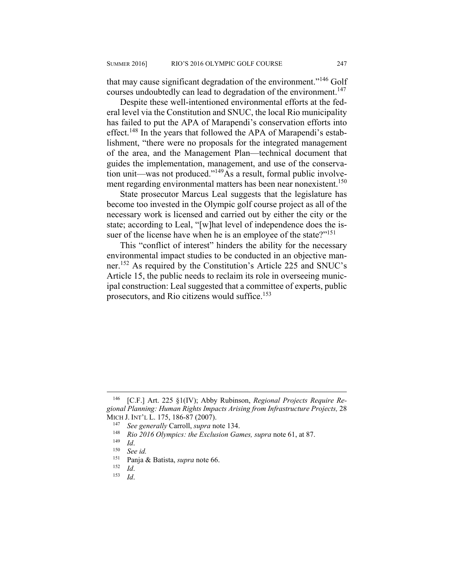that may cause significant degradation of the environment."146 Golf courses undoubtedly can lead to degradation of the environment.<sup>147</sup>

Despite these well-intentioned environmental efforts at the federal level via the Constitution and SNUC, the local Rio municipality has failed to put the APA of Marapendi's conservation efforts into effect.<sup>148</sup> In the years that followed the APA of Marapendi's establishment, "there were no proposals for the integrated management of the area, and the Management Plan—technical document that guides the implementation, management, and use of the conservation unit—was not produced."149As a result, formal public involvement regarding environmental matters has been near nonexistent.<sup>150</sup>

State prosecutor Marcus Leal suggests that the legislature has become too invested in the Olympic golf course project as all of the necessary work is licensed and carried out by either the city or the state; according to Leal, "[w]hat level of independence does the issuer of the license have when he is an employee of the state?"<sup>151</sup>

This "conflict of interest" hinders the ability for the necessary environmental impact studies to be conducted in an objective manner.152 As required by the Constitution's Article 225 and SNUC's Article 15, the public needs to reclaim its role in overseeing municipal construction: Leal suggested that a committee of experts, public prosecutors, and Rio citizens would suffice.153

<sup>[</sup>C.F.] Art. 225 §1(IV); Abby Rubinson, *Regional Projects Require Regional Planning: Human Rights Impacts Arising from Infrastructure Projects,* 28 MICH J. INT'L L. 175, 186-87 (2007).<br><sup>147</sup> See generally Carroll, *supra* note 134.<br><sup>148</sup> Rio 2016 Olympics: the Exclusion Games, *supra* note 61, at 87.<br><sup>149</sup> Id. See id.<br><sup>150</sup> See id. Popie & Botista, supra pote 66.

<sup>151</sup> Panja & Batista, *supra* note 66. 152 *Id*. 153 *Id*.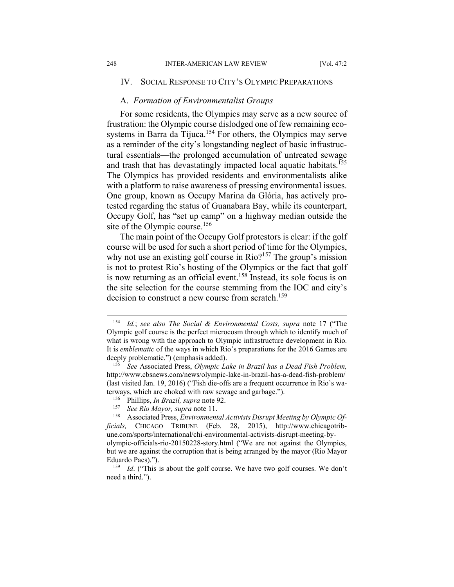1

#### IV. SOCIAL RESPONSE TO CITY'S OLYMPIC PREPARATIONS

#### A. *Formation of Environmentalist Groups*

For some residents, the Olympics may serve as a new source of frustration: the Olympic course dislodged one of few remaining ecosystems in Barra da Tijuca.<sup>154</sup> For others, the Olympics may serve as a reminder of the city's longstanding neglect of basic infrastructural essentials—the prolonged accumulation of untreated sewage and trash that has devastatingly impacted local aquatic habitats.<sup>155</sup> The Olympics has provided residents and environmentalists alike with a platform to raise awareness of pressing environmental issues. One group, known as Occupy Marina da Glória, has actively protested regarding the status of Guanabara Bay, while its counterpart, Occupy Golf, has "set up camp" on a highway median outside the site of the Olympic course.<sup>156</sup>

The main point of the Occupy Golf protestors is clear: if the golf course will be used for such a short period of time for the Olympics, why not use an existing golf course in Rio?<sup>157</sup> The group's mission is not to protest Rio's hosting of the Olympics or the fact that golf is now returning as an official event.<sup>158</sup> Instead, its sole focus is on the site selection for the course stemming from the IOC and city's decision to construct a new course from scratch.<sup>159</sup>

<sup>154</sup> *Id.*; *see also The Social & Environmental Costs, supra* note 17 ("The Olympic golf course is the perfect microcosm through which to identify much of what is wrong with the approach to Olympic infrastructure development in Rio. It is *emblematic* of the ways in which Rio's preparations for the 2016 Games are deeply problematic.") (emphasis added). 155 *See* Associated Press, *Olympic Lake in Brazil has a Dead Fish Problem,* 

http://www.cbsnews.com/news/olympic-lake-in-brazil-has-a-dead-fish-problem/ (last visited Jan. 19, 2016) ("Fish die-offs are a frequent occurrence in Rio's waterways, which are choked with raw sewage and garbage.").<br><sup>156</sup> Phillips, *In Brazil, supra* note 92.<br><sup>157</sup> See Rio Mayor, supra note 11.<br><sup>158</sup> Associated Press, *Environmental Activists Disrupt Meeting by Olympic Of*-

*ficials,* CHICAGO TRIBUNE (Feb. 28, 2015), http://www.chicagotribune.com/sports/international/chi-environmental-activists-disrupt-meeting-byolympic-officials-rio-20150228-story.html ("We are not against the Olympics, but we are against the corruption that is being arranged by the mayor (Rio Mayor Eduardo Paes).").<br><sup>159</sup> *Id.* ("This is about the golf course. We have two golf courses. We don't

need a third.").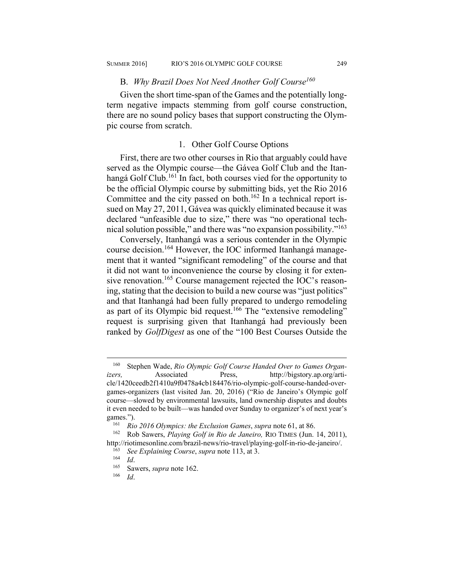#### B. *Why Brazil Does Not Need Another Golf Course160*

Given the short time-span of the Games and the potentially longterm negative impacts stemming from golf course construction, there are no sound policy bases that support constructing the Olympic course from scratch.

#### 1. Other Golf Course Options

First, there are two other courses in Rio that arguably could have served as the Olympic course—the Gávea Golf Club and the Itanhangá Golf Club.<sup>161</sup> In fact, both courses vied for the opportunity to be the official Olympic course by submitting bids, yet the Rio 2016 Committee and the city passed on both.<sup>162</sup> In a technical report issued on May 27, 2011, Gávea was quickly eliminated because it was declared "unfeasible due to size," there was "no operational technical solution possible," and there was "no expansion possibility."163

Conversely, Itanhangá was a serious contender in the Olympic course decision.164 However, the IOC informed Itanhangá management that it wanted "significant remodeling" of the course and that it did not want to inconvenience the course by closing it for extensive renovation.<sup>165</sup> Course management rejected the IOC's reasoning, stating that the decision to build a new course was "just politics" and that Itanhangá had been fully prepared to undergo remodeling as part of its Olympic bid request.<sup>166</sup> The "extensive remodeling" request is surprising given that Itanhangá had previously been ranked by *GolfDigest* as one of the "100 Best Courses Outside the

<sup>160</sup> Stephen Wade, *Rio Olympic Golf Course Handed Over to Games Organizers,* Associated Press, http://bigstory.ap.org/article/1420ceedb2f1410a9f0478a4cb184476/rio-olympic-golf-course-handed-overgames-organizers (last visited Jan. 20, 2016) ("Rio de Janeiro's Olympic golf course—slowed by environmental lawsuits, land ownership disputes and doubts it even needed to be built—was handed over Sunday to organizer's of next year's games.").<br><sup>161</sup> *Rio 2016 Olympics: the Exclusion Games, supra* note 61, at 86.<br><sup>162</sup> Rob Sawers, *Playing Golf in Rio de Janeiro*, RIO TIMES (Jun. 14, 2011),

http://riotimesonline.com/brazil-news/rio-travel/playing-golf-in-rio-de-janeiro/.<br><sup>163</sup> See *Explaining Course*, *supra* note 113, at 3.<br><sup>164</sup> Id. Sawers, *supra* note 162.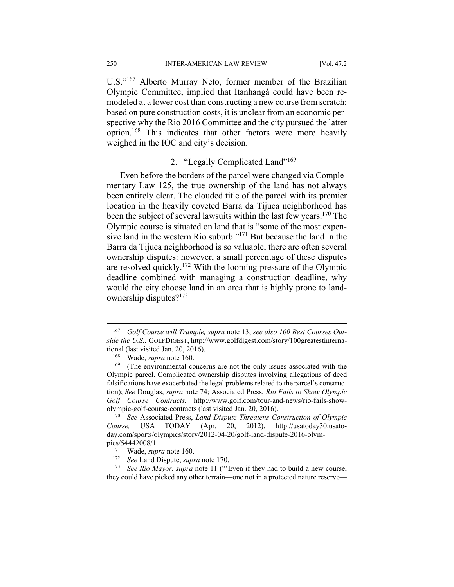U.S."167 Alberto Murray Neto, former member of the Brazilian Olympic Committee, implied that Itanhangá could have been remodeled at a lower cost than constructing a new course from scratch: based on pure construction costs, it is unclear from an economic perspective why the Rio 2016 Committee and the city pursued the latter option.168 This indicates that other factors were more heavily weighed in the IOC and city's decision.

#### 2. "Legally Complicated Land"<sup>169</sup>

Even before the borders of the parcel were changed via Complementary Law 125, the true ownership of the land has not always been entirely clear. The clouded title of the parcel with its premier location in the heavily coveted Barra da Tijuca neighborhood has been the subject of several lawsuits within the last few years.<sup>170</sup> The Olympic course is situated on land that is "some of the most expensive land in the western Rio suburb."171 But because the land in the Barra da Tijuca neighborhood is so valuable, there are often several ownership disputes: however, a small percentage of these disputes are resolved quickly.172 With the looming pressure of the Olympic deadline combined with managing a construction deadline, why would the city choose land in an area that is highly prone to landownership disputes?173

<sup>167</sup> *Golf Course will Trample, supra* note 13; *see also 100 Best Courses Outside the U.S.*, GOLFDIGEST, http://www.golfdigest.com/story/100greatestinternational (last visited Jan. 20, 2016).<br><sup>168</sup> Wade, *supra* note 160.<br><sup>169</sup> (The environmental concerns are not the only issues associated with the

Olympic parcel. Complicated ownership disputes involving allegations of deed falsifications have exacerbated the legal problems related to the parcel's construction); *See* Douglas, *supra* note 74; Associated Press, *Rio Fails to Show Olympic Golf Course Contracts,* http://www.golf.com/tour-and-news/rio-fails-showolympic-golf-course-contracts (last visited Jan. 20, 2016). 170 *See* Associated Press, *Land Dispute Threatens Construction of Olympic* 

*Course,* USA TODAY (Apr. 20, 2012), http://usatoday30.usatoday.com/sports/olympics/story/2012-04-20/golf-land-dispute-2016-olym-

pics/54442008/1.<br><sup>171</sup> Wade, *supra* note 160.<br><sup>172</sup> See Land Dispute, *supra* note 170.<br><sup>173</sup> See Rio Mayor, *supra* note 11 ("Even if they had to build a new course, they could have picked any other terrain—one not in a protected nature reserve—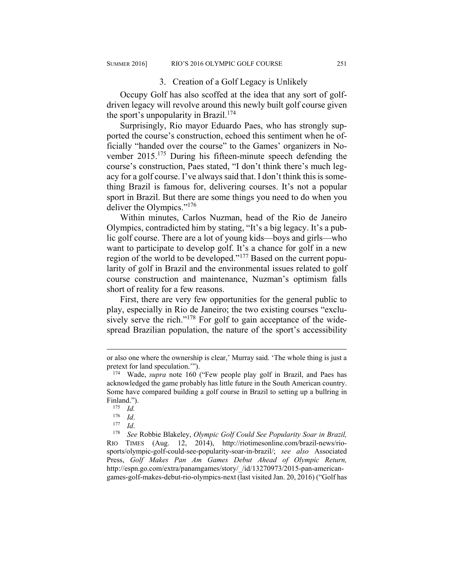#### 3. Creation of a Golf Legacy is Unlikely

Occupy Golf has also scoffed at the idea that any sort of golfdriven legacy will revolve around this newly built golf course given the sport's unpopularity in Brazil.<sup>174</sup>

Surprisingly, Rio mayor Eduardo Paes, who has strongly supported the course's construction, echoed this sentiment when he officially "handed over the course" to the Games' organizers in November 2015.175 During his fifteen-minute speech defending the course's construction, Paes stated, "I don't think there's much legacy for a golf course. I've always said that. I don't think this is something Brazil is famous for, delivering courses. It's not a popular sport in Brazil. But there are some things you need to do when you deliver the Olympics."176

Within minutes, Carlos Nuzman, head of the Rio de Janeiro Olympics, contradicted him by stating, "It's a big legacy. It's a public golf course. There are a lot of young kids—boys and girls—who want to participate to develop golf. It's a chance for golf in a new region of the world to be developed."177 Based on the current popularity of golf in Brazil and the environmental issues related to golf course construction and maintenance, Nuzman's optimism falls short of reality for a few reasons.

First, there are very few opportunities for the general public to play, especially in Rio de Janeiro; the two existing courses "exclusively serve the rich."<sup>178</sup> For golf to gain acceptance of the widespread Brazilian population, the nature of the sport's accessibility

<u>.</u>

or also one where the ownership is clear,' Murray said. 'The whole thing is just a pretext for land speculation.'"). 174 Wade, *supra* note 160 ("Few people play golf in Brazil, and Paes has

acknowledged the game probably has little future in the South American country. Some have compared building a golf course in Brazil to setting up a bullring in Finland.").<br><sup>175</sup> *Id.*<br><sup>176</sup> *Id.* 

<sup>176</sup> *Id*. 177 *Id*. 178 *See* Robbie Blakeley, *Olympic Golf Could See Popularity Soar in Brazil,*  RIO TIMES (Aug. 12, 2014), http://riotimesonline.com/brazil-news/riosports/olympic-golf-could-see-popularity-soar-in-brazil/; *see also* Associated Press, *Golf Makes Pan Am Games Debut Ahead of Olympic Return,*  http://espn.go.com/extra/panamgames/story/\_/id/13270973/2015-pan-americangames-golf-makes-debut-rio-olympics-next (last visited Jan. 20, 2016) ("Golf has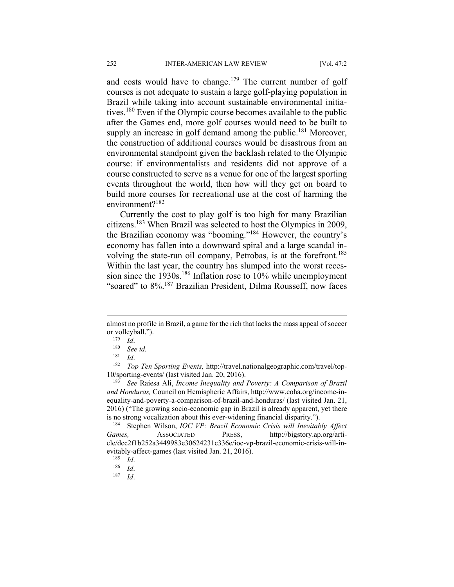and costs would have to change.<sup>179</sup> The current number of golf courses is not adequate to sustain a large golf-playing population in Brazil while taking into account sustainable environmental initiatives.180 Even if the Olympic course becomes available to the public after the Games end, more golf courses would need to be built to supply an increase in golf demand among the public.<sup>181</sup> Moreover, the construction of additional courses would be disastrous from an environmental standpoint given the backlash related to the Olympic course: if environmentalists and residents did not approve of a course constructed to serve as a venue for one of the largest sporting events throughout the world, then how will they get on board to build more courses for recreational use at the cost of harming the environment?<sup>182</sup>

Currently the cost to play golf is too high for many Brazilian citizens.183 When Brazil was selected to host the Olympics in 2009, the Brazilian economy was "booming."184 However, the country's economy has fallen into a downward spiral and a large scandal involving the state-run oil company, Petrobas, is at the forefront.<sup>185</sup> Within the last year, the country has slumped into the worst recession since the 1930s.<sup>186</sup> Inflation rose to 10% while unemployment "soared" to 8%.187 Brazilian President, Dilma Rousseff, now faces

almost no profile in Brazil, a game for the rich that lacks the mass appeal of soccer or volleyball."). 179 *Id*. 180 *See id.* 

<sup>&</sup>lt;sup>181</sup> *Id.* 182<sup>181</sup> *Id.* 182<sup>181</sup> *Iop Ten Sporting Events,* http://travel.nationalgeographic.com/travel/top-10/sporting-events/ (last visited Jan. 20, 2016). 183 *See* Raiesa Ali, *Income Inequality and Poverty: A Comparison of Brazil* 

*and Honduras,* Council on Hemispheric Affairs, http://www.coha.org/income-inequality-and-poverty-a-comparison-of-brazil-and-honduras/ (last visited Jan. 21, 2016) ("The growing socio-economic gap in Brazil is already apparent, yet there is no strong vocalization about this ever-widening financial disparity."). 184 Stephen Wilson, *IOC VP: Brazil Economic Crisis will Inevitably Affect* 

*Games,* ASSOCIATED PRESS, http://bigstory.ap.org/article/dcc2f1b252a3449983e30624231c336e/ioc-vp-brazil-economic-crisis-will-inevitably-affect-games (last visited Jan. 21, 2016). 185 *Id*. 186 *Id*. 187 *Id*.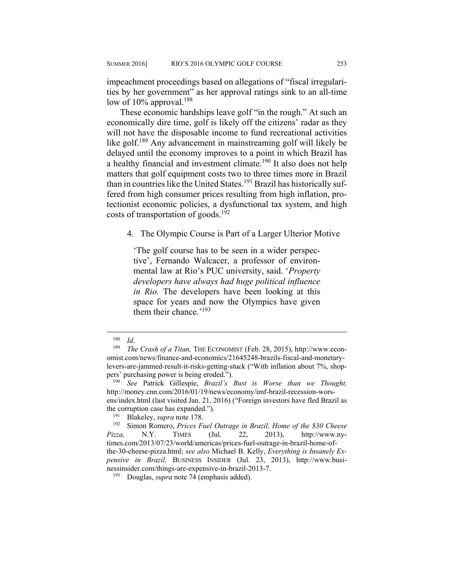impeachment proceedings based on allegations of "fiscal irregularities by her government" as her approval ratings sink to an all-time low of  $10\%$  approval.<sup>188</sup>

These economic hardships leave golf "in the rough." At such an economically dire time, golf is likely off the citizens' radar as they will not have the disposable income to fund recreational activities like golf.189 Any advancement in mainstreaming golf will likely be delayed until the economy improves to a point in which Brazil has a healthy financial and investment climate.<sup>190</sup> It also does not help matters that golf equipment costs two to three times more in Brazil than in countries like the United States.<sup>191</sup> Brazil has historically suffered from high consumer prices resulting from high inflation, protectionist economic policies, a dysfunctional tax system, and high costs of transportation of goods.<sup>192</sup>

4. The Olympic Course is Part of a Larger Ulterior Motive

'The golf course has to be seen in a wider perspective', Fernando Walcacer, a professor of environmental law at Rio's PUC university, said. '*Property developers have always had huge political influence in Rio.* The developers have been looking at this space for years and now the Olympics have given them their chance.'193

1

191 Blakeley, *supra* note 178. 192 Simon Romero, *Prices Fuel Outrage in Brazil, Home of the \$30 Cheese Pizza,* N.Y. TIMES (Jul. 22, 2013), http://www.nytimes.com/2013/07/23/world/americas/prices-fuel-outrage-in-brazil-home-ofthe-30-cheese-pizza.html; *see also* Michael B. Kelly, *Everything is Insanely Expensive in Brazil,* BUSINESS INSIDER (Jul. 23, 2013), http://www.businessinsider.com/things-are-expensive-in-brazil-2013-7. 193 Douglas, *supra* note 74 (emphasis added).

<sup>188</sup> *Id*. 189 *The Crash of a Titan,* THE ECONOMIST (Feb. 28, 2015), http://www.economist.com/news/finance-and-economics/21645248-brazils-fiscal-and-monetarylevers-are-jammed-result-it-risks-getting-stuck ("With inflation about 7%, shoppers' purchasing power is being eroded."). 190 *See* Patrick Gillespie, *Brazil's Bust is Worse than we Thought,* 

http://money.cnn.com/2016/01/19/news/economy/imf-brazil-recession-worsens/index.html (last visited Jan. 21, 2016) ("Foreign investors have fled Brazil as the corruption case has expanded.").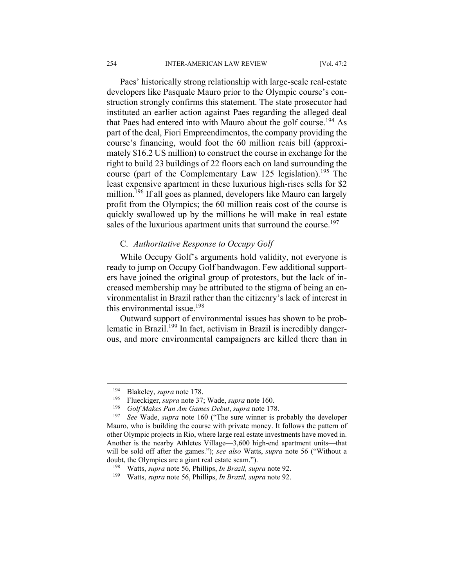Paes' historically strong relationship with large-scale real-estate developers like Pasquale Mauro prior to the Olympic course's construction strongly confirms this statement. The state prosecutor had instituted an earlier action against Paes regarding the alleged deal that Paes had entered into with Mauro about the golf course.<sup>194</sup> As part of the deal, Fiori Empreendimentos, the company providing the course's financing, would foot the 60 million reais bill (approximately \$16.2 US million) to construct the course in exchange for the right to build 23 buildings of 22 floors each on land surrounding the course (part of the Complementary Law 125 legislation).<sup>195</sup> The least expensive apartment in these luxurious high-rises sells for \$2 million.<sup>196</sup> If all goes as planned, developers like Mauro can largely profit from the Olympics; the 60 million reais cost of the course is quickly swallowed up by the millions he will make in real estate sales of the luxurious apartment units that surround the course.<sup>197</sup>

#### C. *Authoritative Response to Occupy Golf*

While Occupy Golf's arguments hold validity, not everyone is ready to jump on Occupy Golf bandwagon. Few additional supporters have joined the original group of protestors, but the lack of increased membership may be attributed to the stigma of being an environmentalist in Brazil rather than the citizenry's lack of interest in this environmental issue.198

Outward support of environmental issues has shown to be problematic in Brazil.199 In fact, activism in Brazil is incredibly dangerous, and more environmental campaigners are killed there than in

<sup>&</sup>lt;sup>194</sup> Blakeley, *supra* note 178.<br><sup>195</sup> Flueckiger, *supra* note 37; Wade, *supra* note 160.<br><sup>196</sup> Golf Makes Pan Am Games Debut, *supra* note 178.<br><sup>197</sup> See Wade, *supra* note 160 ("The sure winner is probably the develo Mauro, who is building the course with private money. It follows the pattern of other Olympic projects in Rio, where large real estate investments have moved in. Another is the nearby Athletes Village—3,600 high-end apartment units—that will be sold off after the games."); *see also* Watts, *supra* note 56 ("Without a doubt, the Olympics are a giant real estate scam."). 198 Watts, *supra* note 56, Phillips, *In Brazil, supra* note 92. 199 Watts, *supra* note 56, Phillips, *In Brazil, supra* note 92.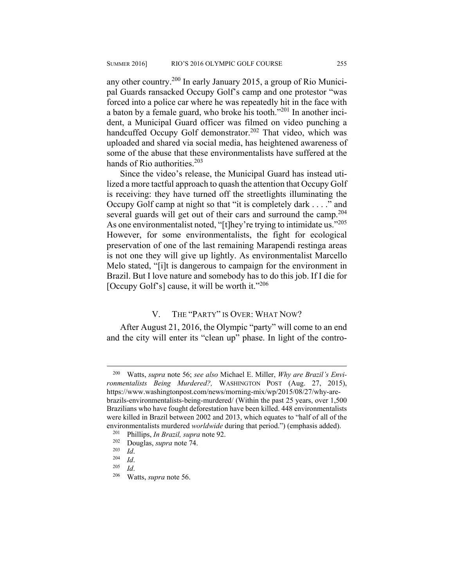any other country.200 In early January 2015, a group of Rio Municipal Guards ransacked Occupy Golf's camp and one protestor "was forced into a police car where he was repeatedly hit in the face with a baton by a female guard, who broke his tooth. $^{201}$  In another incident, a Municipal Guard officer was filmed on video punching a handcuffed Occupy Golf demonstrator.<sup>202</sup> That video, which was uploaded and shared via social media, has heightened awareness of some of the abuse that these environmentalists have suffered at the hands of Rio authorities.<sup>203</sup>

Since the video's release, the Municipal Guard has instead utilized a more tactful approach to quash the attention that Occupy Golf is receiving: they have turned off the streetlights illuminating the Occupy Golf camp at night so that "it is completely dark . . . ." and several guards will get out of their cars and surround the camp.<sup>204</sup> As one environmentalist noted, "[t]hey're trying to intimidate us."<sup>205</sup> However, for some environmentalists, the fight for ecological preservation of one of the last remaining Marapendi restinga areas is not one they will give up lightly. As environmentalist Marcello Melo stated, "[i]t is dangerous to campaign for the environment in Brazil. But I love nature and somebody has to do this job. If I die for [Occupy Golf's] cause, it will be worth it."<sup>206</sup>

#### V. THE "PARTY" IS OVER: WHAT NOW?

After August 21, 2016, the Olympic "party" will come to an end and the city will enter its "clean up" phase. In light of the contro-

<sup>200</sup> Watts, *supra* note 56; *see also* Michael E. Miller, *Why are Brazil's Environmentalists Being Murdered?,* WASHINGTON POST (Aug. 27, 2015), https://www.washingtonpost.com/news/morning-mix/wp/2015/08/27/why-arebrazils-environmentalists-being-murdered/ (Within the past 25 years, over 1,500 Brazilians who have fought deforestation have been killed. 448 environmentalists were killed in Brazil between 2002 and 2013, which equates to "half of all of the environmentalists murdered *worldwide* during that period.") (emphasis added).<br>
<sup>201</sup> Phillips, *In Brazil*, *supra* note 92.<br>
Douglas, *supra* note 74.<br>
<sup>203</sup> *Id.*<br>
<sup>204</sup> *Id.*<br>
<sup>205</sup> *Id.*<br>
<sup>206</sup> Watts, *supra* note 56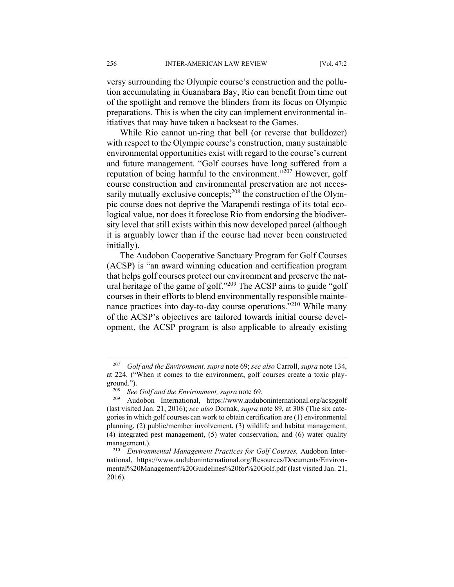versy surrounding the Olympic course's construction and the pollution accumulating in Guanabara Bay, Rio can benefit from time out of the spotlight and remove the blinders from its focus on Olympic preparations. This is when the city can implement environmental initiatives that may have taken a backseat to the Games.

While Rio cannot un-ring that bell (or reverse that bulldozer) with respect to the Olympic course's construction, many sustainable environmental opportunities exist with regard to the course's current and future management. "Golf courses have long suffered from a reputation of being harmful to the environment."207 However, golf course construction and environmental preservation are not necessarily mutually exclusive concepts;<sup>208</sup> the construction of the Olympic course does not deprive the Marapendi restinga of its total ecological value, nor does it foreclose Rio from endorsing the biodiversity level that still exists within this now developed parcel (although it is arguably lower than if the course had never been constructed initially).

The Audobon Cooperative Sanctuary Program for Golf Courses (ACSP) is "an award winning education and certification program that helps golf courses protect our environment and preserve the natural heritage of the game of golf."209 The ACSP aims to guide "golf courses in their efforts to blend environmentally responsible maintenance practices into day-to-day course operations."<sup>210</sup> While many of the ACSP's objectives are tailored towards initial course development, the ACSP program is also applicable to already existing

<sup>207</sup> *Golf and the Environment, supra* note 69; *see also* Carroll, *supra* note 134, at 224. ("When it comes to the environment, golf courses create a toxic playground."). 208 *See Golf and the Environment, supra* note 69. 209 Audobon International, https://www.auduboninternational.org/acspgolf

<sup>(</sup>last visited Jan. 21, 2016); *see also* Dornak, *supra* note 89, at 308 (The six categories in which golf courses can work to obtain certification are (1) environmental planning, (2) public/member involvement, (3) wildlife and habitat management, (4) integrated pest management, (5) water conservation, and (6) water quality management.).<br><sup>210</sup> *Environmental Management Practices for Golf Courses*, Audobon Inter-

national, https://www.auduboninternational.org/Resources/Documents/Environmental%20Management%20Guidelines%20for%20Golf.pdf (last visited Jan. 21, 2016).